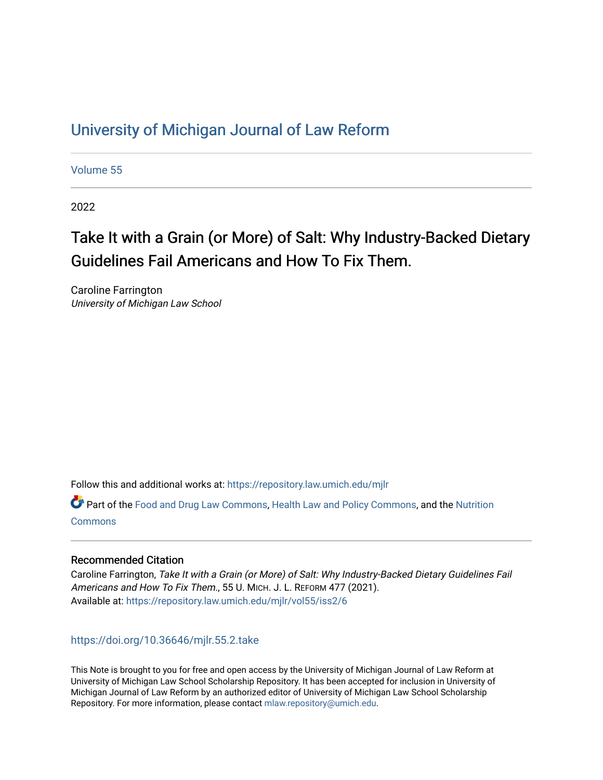## [University of Michigan Journal of Law Reform](https://repository.law.umich.edu/mjlr)

[Volume 55](https://repository.law.umich.edu/mjlr/vol55)

2022

# Take It with a Grain (or More) of Salt: Why Industry-Backed Dietary Guidelines Fail Americans and How To Fix Them.

Caroline Farrington University of Michigan Law School

Follow this and additional works at: [https://repository.law.umich.edu/mjlr](https://repository.law.umich.edu/mjlr?utm_source=repository.law.umich.edu%2Fmjlr%2Fvol55%2Fiss2%2F6&utm_medium=PDF&utm_campaign=PDFCoverPages) 

**P** Part of the [Food and Drug Law Commons,](https://network.bepress.com/hgg/discipline/844?utm_source=repository.law.umich.edu%2Fmjlr%2Fvol55%2Fiss2%2F6&utm_medium=PDF&utm_campaign=PDFCoverPages) [Health Law and Policy Commons,](https://network.bepress.com/hgg/discipline/901?utm_source=repository.law.umich.edu%2Fmjlr%2Fvol55%2Fiss2%2F6&utm_medium=PDF&utm_campaign=PDFCoverPages) and the Nutrition **[Commons](https://network.bepress.com/hgg/discipline/95?utm_source=repository.law.umich.edu%2Fmjlr%2Fvol55%2Fiss2%2F6&utm_medium=PDF&utm_campaign=PDFCoverPages)** 

## Recommended Citation

Caroline Farrington, Take It with a Grain (or More) of Salt: Why Industry-Backed Dietary Guidelines Fail Americans and How To Fix Them., 55 U. MICH. J. L. REFORM 477 (2021). Available at: [https://repository.law.umich.edu/mjlr/vol55/iss2/6](https://repository.law.umich.edu/mjlr/vol55/iss2/6?utm_source=repository.law.umich.edu%2Fmjlr%2Fvol55%2Fiss2%2F6&utm_medium=PDF&utm_campaign=PDFCoverPages) 

## <https://doi.org/10.36646/mjlr.55.2.take>

This Note is brought to you for free and open access by the University of Michigan Journal of Law Reform at University of Michigan Law School Scholarship Repository. It has been accepted for inclusion in University of Michigan Journal of Law Reform by an authorized editor of University of Michigan Law School Scholarship Repository. For more information, please contact [mlaw.repository@umich.edu](mailto:mlaw.repository@umich.edu).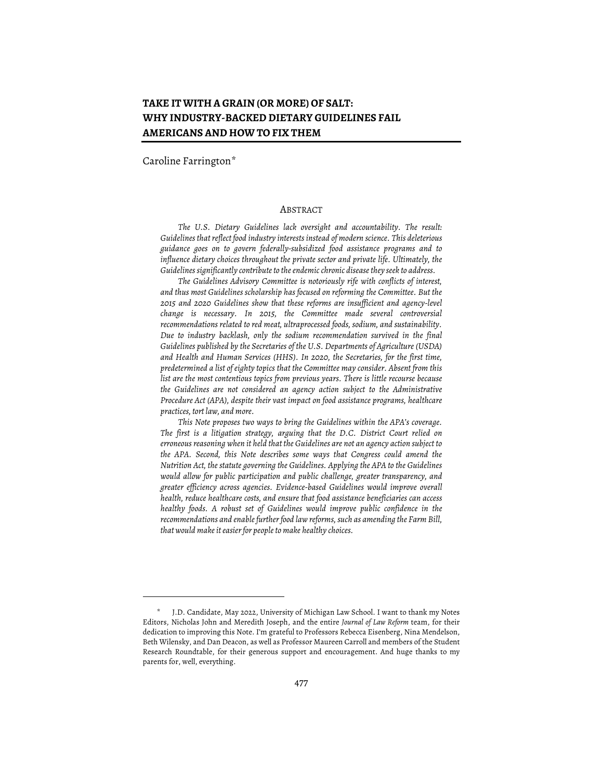## **TAKE IT WITH A GRAIN (OR MORE) OF SALT: WHY INDUSTRY-BACKED DIETARY GUIDELINES FAIL AMERICANS AND HOW TO FIX THEM**

Caroline Farrington\*

#### ABSTRACT

*The U.S. Dietary Guidelines lack oversight and accountability. The result: Guidelinesthat reflect food industry interests instead of modern science. This deleterious guidance goes on to govern federally-subsidized food assistance programs and to influence dietary choices throughout the private sector and private life. Ultimately, the Guidelines significantly contribute to the endemic chronic disease they seek to address.* 

*The Guidelines Advisory Committee is notoriously rife with conflicts of interest, and thus most Guidelines scholarship has focused on reforming the Committee. But the 2015 and 2020 Guidelines show that these reforms are insufficient and agency-level change is necessary. In 2015, the Committee made several controversial recommendations related to red meat, ultraprocessed foods, sodium, and sustainability. Due to industry backlash, only the sodium recommendation survived in the final Guidelines published by the Secretaries of the U.S. Departments of Agriculture (USDA) and Health and Human Services (HHS). In 2020, the Secretaries, for the first time, predetermined a list of eighty topics that the Committee may consider. Absent from this list are the most contentious topics from previous years. There is little recourse because the Guidelines are not considered an agency action subject to the Administrative Procedure Act (APA), despite their vast impact on food assistance programs, healthcare practices, tort law, and more.*

*This Note proposes two ways to bring the Guidelines within the APA's coverage. The first is a litigation strategy, arguing that the D.C. District Court relied on erroneous reasoning when it held that the Guidelines are not an agency action subject to the APA. Second, this Note describes some ways that Congress could amend the Nutrition Act, the statute governing the Guidelines. Applying the APA to the Guidelines would allow for public participation and public challenge, greater transparency, and greater efficiency across agencies. Evidence-based Guidelines would improve overall health, reduce healthcare costs, and ensure that food assistance beneficiaries can access healthy foods. A robust set of Guidelines would improve public confidence in the recommendations and enablefurther food law reforms, such as amending the Farm Bill, that would makeiteasier for peopleto make healthy choices.*

J.D. Candidate, May 2022, University of Michigan Law School. I want to thank my Notes Editors, Nicholas John and Meredith Joseph, and the entire *Journal of Law Reform* team, for their dedication to improving this Note. I'm grateful to Professors Rebecca Eisenberg, Nina Mendelson, Beth Wilensky, and Dan Deacon, as well as Professor Maureen Carroll and members of the Student Research Roundtable, for their generous support and encouragement. And huge thanks to my parents for, well, everything.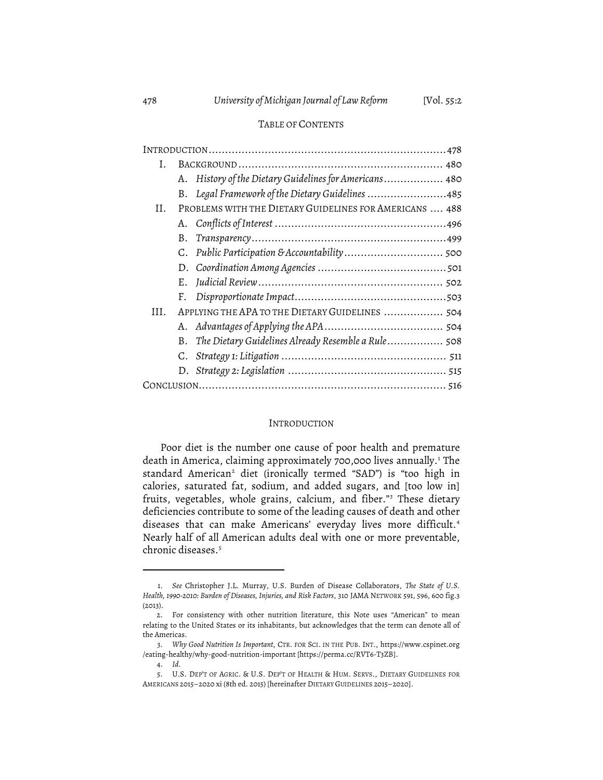#### TABLE OF CONTENTS

| I.  |                                                         |                                                        |  |
|-----|---------------------------------------------------------|--------------------------------------------------------|--|
|     |                                                         | A. History of the Dietary Guidelines for Americans 480 |  |
|     |                                                         | B. Legal Framework of the Dietary Guidelines 485       |  |
| Н.  | PROBLEMS WITH THE DIETARY GUIDELINES FOR AMERICANS  488 |                                                        |  |
|     |                                                         |                                                        |  |
|     | В.                                                      |                                                        |  |
|     |                                                         |                                                        |  |
|     |                                                         |                                                        |  |
|     |                                                         |                                                        |  |
|     | F.                                                      |                                                        |  |
| HL. | APPLYING THE APA TO THE DIETARY GUIDELINES  504         |                                                        |  |
|     |                                                         |                                                        |  |
|     |                                                         | B. The Dietary Guidelines Already Resemble a Rule 508  |  |
|     |                                                         |                                                        |  |
|     |                                                         |                                                        |  |
|     |                                                         |                                                        |  |

#### INTRODUCTION

Poor diet is the number one cause of poor health and premature death in America, claiming approximately 700,000 lives annually. <sup>1</sup> The standard American<sup>2</sup> diet (ironically termed "SAD") is "too high in calories, saturated fat, sodium, and added sugars, and [too low in] fruits, vegetables, whole grains, calcium, and fiber."3 These dietary deficiencies contribute to some of the leading causes of death and other diseases that can make Americans' everyday lives more difficult. 4 Nearly half of all American adults deal with one or more preventable, chronic diseases. 5

<sup>1.</sup> *See* Christopher J.L. Murray, U.S. Burden of Disease Collaborators, *The State of U.S. Health, 1990-2010: Burden of Diseases, Injuries, and Risk Factors*, 310 JAMA NETWORK 591, 596, 600 fig.3 (2013).

<sup>2.</sup> For consistency with other nutrition literature, this Note uses "American" to mean relating to the United States or its inhabitants, but acknowledges that the term can denote all of the Americas.

<sup>3.</sup> *Why Good Nutrition Is Important*, CTR. FOR SCI. IN THE PUB. INT., https://www.cspinet.org /eating-healthy/why-good-nutrition-important [https://perma.cc/RVT6-T3ZB].

<sup>4.</sup> *Id.*

<sup>5.</sup> U.S. DEP'T OF AGRIC. & U.S. DEP'T OF HEALTH & HUM. SERVS., DIETARY GUIDELINES FOR AMERICANS 2015–2020 xi (8th ed. 2015) [hereinafter DIETARY GUIDELINES 2015–2020].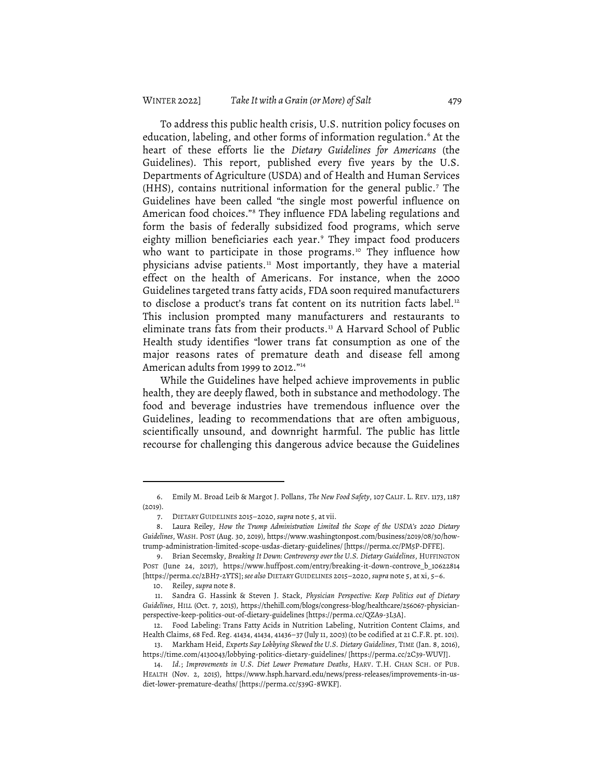To address this public health crisis, U.S. nutrition policy focuses on education, labeling, and other forms of information regulation. <sup>6</sup> At the heart of these efforts lie the *Dietary Guidelines for Americans* (the Guidelines). This report, published every five years by the U.S. Departments of Agriculture (USDA) and of Health and Human Services (HHS), contains nutritional information for the general public. <sup>7</sup> The Guidelines have been called "the single most powerful influence on American food choices."8 They influence FDA labeling regulations and form the basis of federally subsidized food programs, which serve eighty million beneficiaries each year. <sup>9</sup> They impact food producers who want to participate in those programs. <sup>10</sup> They influence how physicians advise patients. <sup>11</sup> Most importantly, they have a material effect on the health of Americans. For instance, when the 2000 Guidelines targeted trans fatty acids, FDA soon required manufacturers to disclose a product's trans fat content on its nutrition facts label. $^{12}$ This inclusion prompted many manufacturers and restaurants to eliminate trans fats from their products. <sup>13</sup> A Harvard School of Public Health study identifies "lower trans fat consumption as one of the major reasons rates of premature death and disease fell among American adults from 1999 to 2012."14

While the Guidelines have helped achieve improvements in public health, they are deeply flawed, both in substance and methodology. The food and beverage industries have tremendous influence over the Guidelines, leading to recommendations that are often ambiguous, scientifically unsound, and downright harmful. The public has little recourse for challenging this dangerous advice because the Guidelines

<sup>6.</sup> Emily M. Broad Leib & Margot J. Pollans, *The New Food Safety*, 107 CALIF. L. REV. 1173, 1187 (2019).

<sup>7.</sup> DIETARY GUIDELINES 2015–2020, *supra* note 5, at vii.

<sup>8.</sup> Laura Reiley, *How the Trump Administration Limited the Scope of the USDA's 2020 Dietary Guidelines*, WASH. POST (Aug. 30, 2019), https://www.washingtonpost.com/business/2019/08/30/howtrump-administration-limited-scope-usdas-dietary-guidelines/ [https://perma.cc/PM5P-DFFE].

<sup>9.</sup> Brian Secemsky, *Breaking It Down: Controversy over the U.S. Dietary Guidelines*, HUFFINGTON POST (June 24, 2017), https://www.huffpost.com/entry/breaking-it-down-controve\_b\_10622814 [https://perma.cc/2BH7-2YTS]; *see also* DIETARY GUIDELINES 2015–2020, *supra* note 5, at xi, 5–6.

<sup>10.</sup> Reiley, *supra* note 8.

<sup>11.</sup> Sandra G. Hassink & Steven J. Stack, *Physician Perspective: Keep Politics out of Dietary Guidelines*, HILL (Oct. 7, 2015), https://thehill.com/blogs/congress-blog/healthcare/256067-physicianperspective-keep-politics-out-of-dietary-guidelines [https://perma.cc/QZA9-3L3A].

<sup>12.</sup> Food Labeling: Trans Fatty Acids in Nutrition Labeling, Nutrition Content Claims, and Health Claims, 68 Fed. Reg. 41434, 41434, 41436–37 (July 11, 2003) (to be codified at 21 C.F.R. pt. 101).

<sup>13.</sup> Markham Heid, *Experts Say Lobbying Skewed the U.S. Dietary Guidelines*, TIME (Jan. 8, 2016), https://time.com/4130043/lobbying-politics-dietary-guidelines/ [https://perma.cc/2C39-WUVJ].

<sup>14.</sup> *Id.*; *Improvements in U.S. Diet Lower Premature Deaths*, HARV. T.H. CHAN SCH. OF PUB. HEALTH (Nov. 2, 2015), https://www.hsph.harvard.edu/news/press-releases/improvements-in-usdiet-lower-premature-deaths/ [https://perma.cc/539G-8WKF].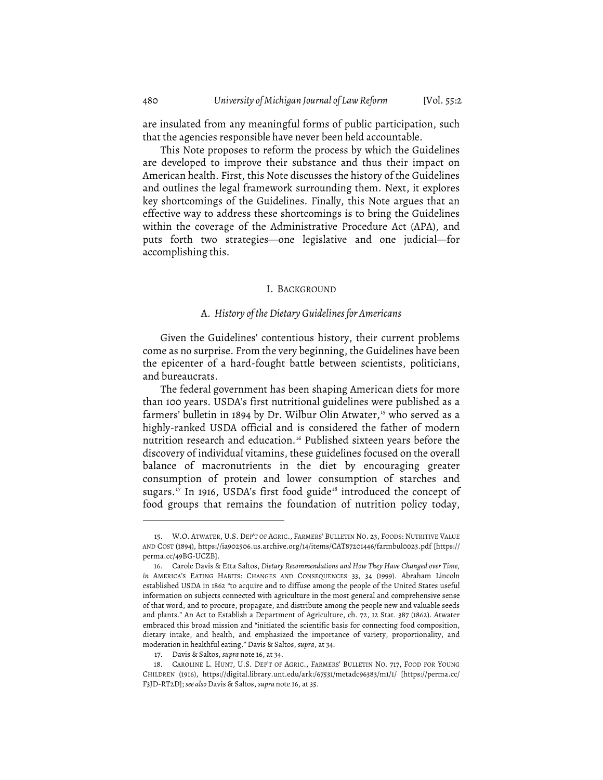are insulated from any meaningful forms of public participation, such that the agencies responsible have never been held accountable.

This Note proposes to reform the process by which the Guidelines are developed to improve their substance and thus their impact on American health. First, this Note discusses the history of the Guidelines and outlines the legal framework surrounding them. Next, it explores key shortcomings of the Guidelines. Finally, this Note argues that an effective way to address these shortcomings is to bring the Guidelines within the coverage of the Administrative Procedure Act (APA), and puts forth two strategies—one legislative and one judicial—for accomplishing this.

#### I. BACKGROUND

#### A. *History of theDietary Guidelinesfor Americans*

Given the Guidelines' contentious history, their current problems come as no surprise. From the very beginning, the Guidelines have been the epicenter of a hard-fought battle between scientists, politicians, and bureaucrats.

The federal government has been shaping American diets for more than 100 years. USDA's first nutritional guidelines were published as a farmers' bulletin in 1894 by Dr. Wilbur Olin Atwater,<sup>15</sup> who served as a highly-ranked USDA official and is considered the father of modern nutrition research and education. <sup>16</sup> Published sixteen years before the discovery of individual vitamins, these guidelines focused on the overall balance of macronutrients in the diet by encouraging greater consumption of protein and lower consumption of starches and sugars.<sup>17</sup> In 1916, USDA's first food guide<sup>18</sup> introduced the concept of food groups that remains the foundation of nutrition policy today,

<sup>15.</sup> W.O. ATWATER, U.S. DEP'T OF AGRIC., FARMERS' BULLETIN NO. 23, FOODS: NUTRITIVE VALUE AND COST (1894), https://ia902506.us.archive.org/14/items/CAT87201446/farmbul0023.pdf [https:// perma.cc/49BG-UCZB].

<sup>16.</sup> Carole Davis & Etta Saltos, *Dietary Recommendations and How They Have Changed over Time*, *in* AMERICA'S EATING HABITS: CHANGES AND CONSEQUENCES 33, 34 (1999). Abraham Lincoln established USDA in 1862 "to acquire and to diffuse among the people of the United States useful information on subjects connected with agriculture in the most general and comprehensive sense of that word, and to procure, propagate, and distribute among the people new and valuable seeds and plants." An Act to Establish a Department of Agriculture, ch. 72, 12 Stat. 387 (1862). Atwater embraced this broad mission and "initiated the scientific basis for connecting food composition, dietary intake, and health, and emphasized the importance of variety, proportionality, and moderation in healthful eating." Davis & Saltos, *supra*, at 34.

<sup>17.</sup> Davis & Saltos, *supra* note 16, at 34.

<sup>18.</sup> CAROLINE L. HUNT, U.S. DEP'T OF AGRIC., FARMERS' BULLETIN NO. 717, FOOD FOR YOUNG CHILDREN (1916), https://digital.library.unt.edu/ark:/67531/metadc96383/m1/1/ [https://perma.cc/ F3JD-RT2D]; *see also* Davis & Saltos, *supra* note 16, at 35.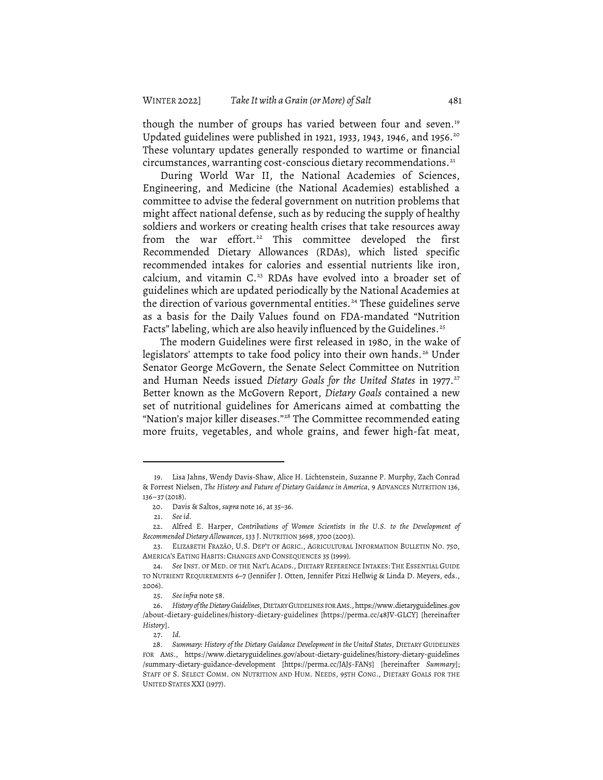though the number of groups has varied between four and seven. 19 Updated guidelines were published in 1921, 1933, 1943, 1946, and 1956. 20 These voluntary updates generally responded to wartime or financial circumstances, warranting cost-conscious dietary recommendations. $^{21}$ 

During World War II, the National Academies of Sciences, Engineering, and Medicine (the National Academies) established a committee to advise the federal government on nutrition problems that might affect national defense, such as by reducing the supply of healthy soldiers and workers or creating health crises that take resources away from the war effort. <sup>22</sup> This committee developed the first Recommended Dietary Allowances (RDAs), which listed specific recommended intakes for calories and essential nutrients like iron, calcium, and vitamin C. <sup>23</sup> RDAs have evolved into a broader set of guidelines which are updated periodically by the National Academies at the direction of various governmental entities. <sup>24</sup> These guidelines serve as a basis for the Daily Values found on FDA-mandated "Nutrition Facts" labeling, which are also heavily influenced by the Guidelines.<sup>25</sup>

The modern Guidelines were first released in 1980, in the wake of legislators' attempts to take food policy into their own hands. <sup>26</sup> Under Senator George McGovern, the Senate Select Committee on Nutrition and Human Needs issued *Dietary Goals for the United States* in 1977. 27 Better known as the McGovern Report, *Dietary Goals* contained a new set of nutritional guidelines for Americans aimed at combatting the "Nation's major killer diseases."28 The Committee recommended eating more fruits, vegetables, and whole grains, and fewer high-fat meat,

<sup>19.</sup> Lisa Jahns, Wendy Davis-Shaw, Alice H. Lichtenstein, Suzanne P. Murphy, Zach Conrad & Forrest Nielsen, *The History and Future of Dietary Guidance in America*, 9 ADVANCES NUTRITION 136, 136–37 (2018).

<sup>20.</sup> Davis & Saltos, *supra* note 16, at 35-36.

<sup>21.</sup> *See id.*

<sup>22.</sup> Alfred E. Harper, *Contributions of Women Scientists in the U.S. to the Development of RecommendedDietary Allowances*, 133 J.NUTRITION 3698, 3700 (2003).

<sup>23.</sup> ELIZABETH FRAZÃO, U.S. DEP'T OF AGRIC., AGRICULTURAL INFORMATION BULLETIN NO. 750, AMERICA'S EATING HABITS: CHANGES AND CONSEQUENCES 35 (1999).

<sup>24.</sup> *See* INST. OF MED. OF THE NAT'L ACADS., DIETARY REFERENCE INTAKES: THE ESSENTIAL GUIDE TO NUTRIENT REQUIREMENTS 6-7 (Jennifer J. Otten, Jennifer Pitzi Hellwig & Linda D. Meyers, eds., 2006).

<sup>25.</sup> *Seeinfra* note 58.

<sup>26.</sup> *History oftheDietary Guidelines*, DIETARY GUIDELINES FOR AMS., https://www.dietaryguidelines.gov /about-dietary-guidelines/history-dietary-guidelines [https://perma.cc/48JV-GLCY] [hereinafter *History*].

<sup>27.</sup> *Id.*

<sup>28.</sup> *Summary: History of the Dietary Guidance Development in the United States*, DIETARY GUIDELINES FOR AMS., https://www.dietaryguidelines.gov/about-dietary-guidelines/history-dietary-guidelines /summary-dietary-guidance-development [https://perma.cc/JAJ5-FAN5] [hereinafter *Summary*]; STAFF OF S. SELECT COMM. ON NUTRITION AND HUM. NEEDS, 95TH CONG., DIETARY GOALS FOR THE UNITED STATES XXI (1977).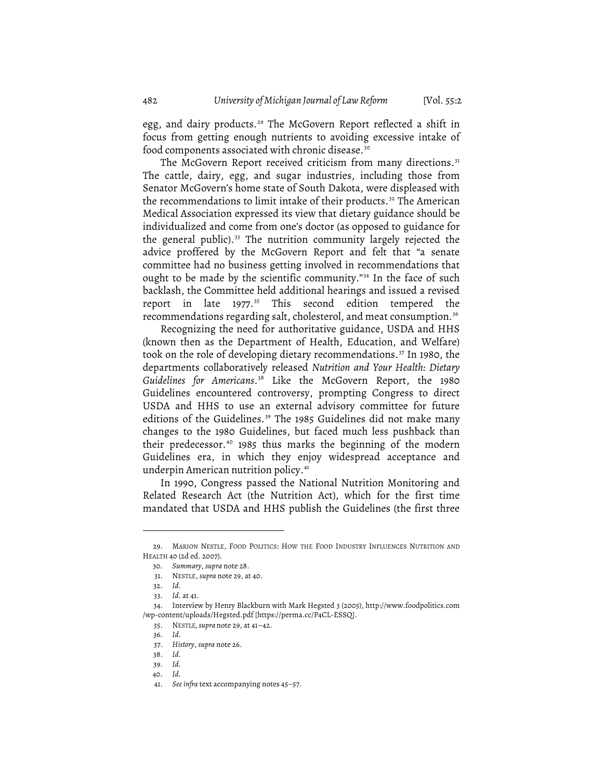egg, and dairy products. <sup>29</sup> The McGovern Report reflected a shift in focus from getting enough nutrients to avoiding excessive intake of food components associated with chronic disease. 30

The McGovern Report received criticism from many directions. $^{31}$ The cattle, dairy, egg, and sugar industries, including those from Senator McGovern's home state of South Dakota, were displeased with the recommendations to limit intake of their products. <sup>32</sup> The American Medical Association expressed its view that dietary guidance should be individualized and come from one's doctor (as opposed to guidance for the general public).<sup>33</sup> The nutrition community largely rejected the advice proffered by the McGovern Report and felt that "a senate committee had no business getting involved in recommendations that ought to be made by the scientific community."34 In the face of such backlash, the Committee held additional hearings and issued a revised report in late 1977. <sup>35</sup> This second edition tempered the recommendations regarding salt, cholesterol, and meat consumption. 36

Recognizing the need for authoritative guidance, USDA and HHS (known then as the Department of Health, Education, and Welfare) took on the role of developing dietary recommendations. <sup>37</sup> In 1980, the departments collaboratively released *Nutrition and Your Health: Dietary Guidelines for Americans*. <sup>38</sup> Like the McGovern Report, the 1980 Guidelines encountered controversy, prompting Congress to direct USDA and HHS to use an external advisory committee for future editions of the Guidelines. <sup>39</sup> The 1985 Guidelines did not make many changes to the 1980 Guidelines, but faced much less pushback than their predecessor. <sup>40</sup> 1985 thus marks the beginning of the modern Guidelines era, in which they enjoy widespread acceptance and underpin American nutrition policy.<sup>41</sup>

In 1990, Congress passed the National Nutrition Monitoring and Related Research Act (the Nutrition Act), which for the first time mandated that USDA and HHS publish the Guidelines (the first three

<sup>29.</sup> MARION NESTLE, FOOD POLITICS: HOW THE FOOD INDUSTRY INFLUENCES NUTRITION AND HEALTH 40 (2d ed. 2007).

<sup>30</sup>*. Summary*, *supra* note 28.

<sup>31.</sup> NESTLE, *supra* note 29, at 40.

<sup>32.</sup> *Id.*

<sup>33.</sup> *Id.* at 41.

<sup>34.</sup> Interview by Henry Blackburn with Mark Hegsted 3 (2005), http://www.foodpolitics.com /wp-content/uploads/Hegsted.pdf [https://perma.cc/P4CL-ESSQ].

<sup>35.</sup> NESTLE*,supra* note 29, at 41–42.

<sup>36.</sup> *Id.*

<sup>37.</sup> *History*, *supra* note 26.

<sup>38.</sup> *Id.*

<sup>39.</sup> *Id.*

<sup>40.</sup> *Id.*

<sup>41.</sup> *See infra* text accompanying notes 45–57.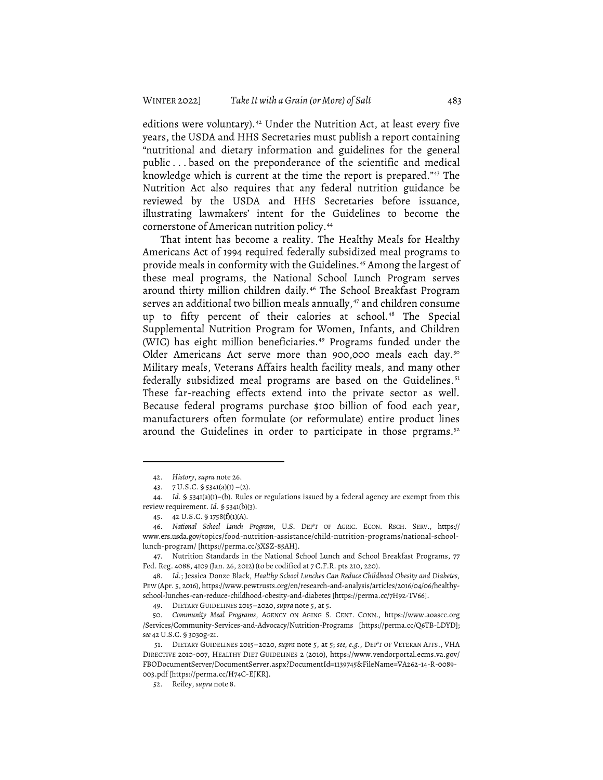editions were voluntary). <sup>42</sup> Under the Nutrition Act, at least every five years, the USDA and HHS Secretaries must publish a report containing "nutritional and dietary information and guidelines for the general public ... based on the preponderance of the scientific and medical knowledge which is current at the time the report is prepared."43 The Nutrition Act also requires that any federal nutrition guidance be reviewed by the USDA and HHS Secretaries before issuance, illustrating lawmakers' intent for the Guidelines to become the cornerstone of American nutrition policy. 44

That intent has become a reality. The Healthy Meals for Healthy Americans Act of 1994 required federally subsidized meal programs to provide meals in conformity with the Guidelines. <sup>45</sup> Among the largest of these meal programs, the National School Lunch Program serves around thirty million children daily. <sup>46</sup> The School Breakfast Program serves an additional two billion meals annually,<sup>47</sup> and children consume up to fifty percent of their calories at school. <sup>48</sup> The Special Supplemental Nutrition Program for Women, Infants, and Children (WIC) has eight million beneficiaries. <sup>49</sup> Programs funded under the Older Americans Act serve more than 900,000 meals each day.<sup>50</sup> Military meals, Veterans Affairs health facility meals, and many other federally subsidized meal programs are based on the Guidelines. 51 These far-reaching effects extend into the private sector as well. Because federal programs purchase \$100 billion of food each year, manufacturers often formulate (or reformulate) entire product lines around the Guidelines in order to participate in those prgrams. 52

<sup>42.</sup> *History*, *supra* note 26.

<sup>43.</sup> 7 U.S.C. § 5341(a)(1) –(2).

<sup>44.</sup> *Id.* § 5341(a)(1)–(b). Rules or regulations issued by a federal agency are exempt from this review requirement. *Id.* § 5341(b)(3).

<sup>45.</sup> 42 U.S.C. § 1758(f)(1)(A).

<sup>46.</sup> *National School Lunch Program*, U.S. DEP'T OF AGRIC. ECON. RSCH. SERV., https:// www.ers.usda.gov/topics/food-nutrition-assistance/child-nutrition-programs/national-schoollunch-program/ [https://perma.cc/3XSZ-85AH].

<sup>47.</sup> Nutrition Standards in the National School Lunch and School Breakfast Programs, 77 Fed. Reg. 4088, 4109 (Jan. 26, 2012) (to be codified at 7 C.F.R. pts 210, 220).

<sup>48.</sup> *Id.*; Jessica Donze Black, *Healthy School Lunches Can Reduce Childhood Obesity and Diabetes*, PEW (Apr. 5, 2016), https://www.pewtrusts.org/en/research-and-analysis/articles/2016/04/06/healthyschool-lunches-can-reduce-childhood-obesity-and-diabetes [https://perma.cc/7H92-TV66].

<sup>49.</sup> DIETARY GUIDELINES 2015–2020,*supra* note 5, at 5.

<sup>50.</sup> *Community Meal Programs*, AGENCY ON AGING S. CENT. CONN., https://www.aoascc.org /Services/Community-Services-and-Advocacy/Nutrition-Programs [https://perma.cc/Q6TB-LDYD]; *see* 42U.S.C. § 3030g-21.

<sup>51.</sup> DIETARY GUIDELINES 2015–2020, *supra* note 5, at 5; *see, e.g.*, DEP'T OF VETERAN AFFS., VHA DIRECTIVE 2010-007, HEALTHY DIET GUIDELINES 2 (2010), https://www.vendorportal.ecms.va.gov/ FBODocumentServer/DocumentServer.aspx?DocumentId=1139745&FileName=VA262-14-R-0089- 003.pdf [https://perma.cc/H74C-EJKR].

<sup>52.</sup> Reiley, *supra* note 8.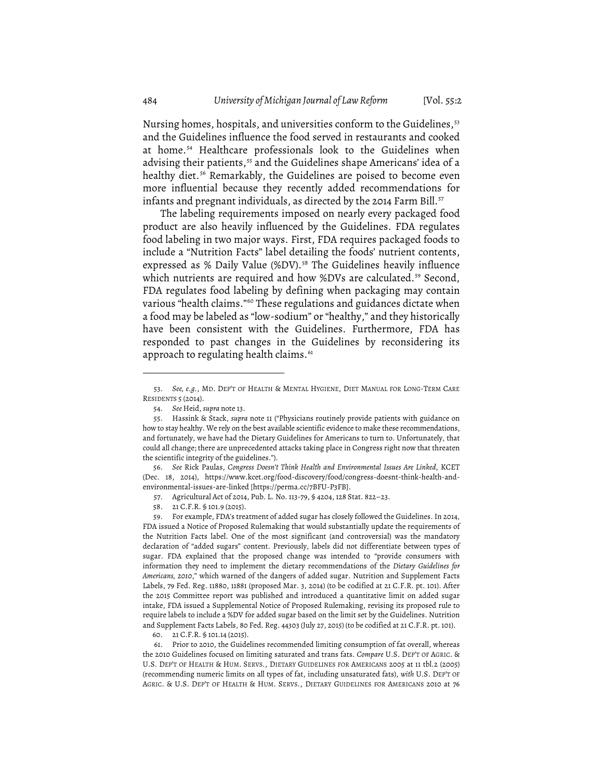Nursing homes, hospitals, and universities conform to the Guidelines,<sup>53</sup> and the Guidelines influence the food served in restaurants and cooked at home. <sup>54</sup> Healthcare professionals look to the Guidelines when advising their patients,<sup>55</sup> and the Guidelines shape Americans' idea of a healthy diet. <sup>56</sup> Remarkably, the Guidelines are poised to become even more influential because they recently added recommendations for infants and pregnant individuals, as directed by the 2014 Farm Bill. $^{\rm 57}$ 

The labeling requirements imposed on nearly every packaged food product are also heavily influenced by the Guidelines. FDA regulates food labeling in two major ways. First, FDA requires packaged foods to include a "Nutrition Facts" label detailing the foods' nutrient contents, expressed as % Daily Value (%DV). <sup>58</sup> The Guidelines heavily influence which nutrients are required and how %DVs are calculated. <sup>59</sup> Second, FDA regulates food labeling by defining when packaging may contain various "health claims."<sup>60</sup> These regulations and guidances dictate when a food may be labeled as "low-sodium" or "healthy," and they historically have been consistent with the Guidelines. Furthermore, FDA has responded to past changes in the Guidelines by reconsidering its approach to regulating health claims.  $^{61}$ 

56. *See* Rick Paulas, *Congress Doesn't Think Health and Environmental Issues Are Linked*, KCET (Dec. 18, 2014), https://www.kcet.org/food-discovery/food/congress-doesnt-think-health-andenvironmental-issues-are-linked [https://perma.cc/7BFU-P3FB].

59. For example, FDA's treatment of added sugar has closely followed the Guidelines. In 2014, FDA issued a Notice of Proposed Rulemaking that would substantially update the requirements of the Nutrition Facts label. One of the most significant (and controversial) was the mandatory declaration of "added sugars" content. Previously, labels did not differentiate between types of sugar. FDA explained that the proposed change was intended to "provide consumers with information they need to implement the dietary recommendations of the *Dietary Guidelines for Americans, 2010*," which warned of the dangers of added sugar. Nutrition and Supplement Facts Labels, 79 Fed. Reg. 11880, 11881 (proposed Mar. 3, 2014) (to be codified at 21 C.F.R. pt. 101). After the 2015 Committee report was published and introduced a quantitative limit on added sugar intake, FDA issued a Supplemental Notice of Proposed Rulemaking, revising its proposed rule to require labels to include a %DV for added sugar based on the limit set by the Guidelines. Nutrition and Supplement Facts Labels, 80 Fed. Reg. 44303 (July 27, 2015) (to be codified at 21 C.F.R. pt. 101).

61. Prior to 2010, the Guidelines recommended limiting consumption of fat overall, whereas the 2010 Guidelines focused on limiting saturated and trans fats. *Compare* U.S. DEP'T OF AGRIC. & U.S. DEP'T OF HEALTH & HUM. SERVS., DIETARY GUIDELINES FOR AMERICANS 2005 at 11 tbl.2 (2005) (recommending numeric limits on all types of fat, including unsaturated fats), *with* U.S. DEP'T OF AGRIC. & U.S. DEP'T OF HEALTH & HUM. SERVS., DIETARY GUIDELINES FOR AMERICANS 2010 at 76

<sup>53.</sup> *See, e.g.*, MD. DEP'T OF HEALTH & MENTAL HYGIENE, DIET MANUAL FOR LONG-TERM CARE RESIDENTS 5 (2014).

<sup>54.</sup> *See* Heid, *supra* note 13.

<sup>55.</sup> Hassink & Stack, *supra* note 11 ("Physicians routinely provide patients with guidance on how to stay healthy. We rely on the best available scientific evidence to make these recommendations, and fortunately, we have had the Dietary Guidelines for Americans to turn to. Unfortunately, that could all change; there are unprecedented attacks taking place in Congress right now that threaten the scientific integrity of the guidelines.").

<sup>57.</sup> Agricultural Act of 2014, Pub. L. No. 113-79, § 4204, 128 Stat. 822–23.

<sup>58.</sup> 21 C.F.R. § 101.9 (2015).

<sup>60.</sup> 21 C.F.R. § 101.14 (2015).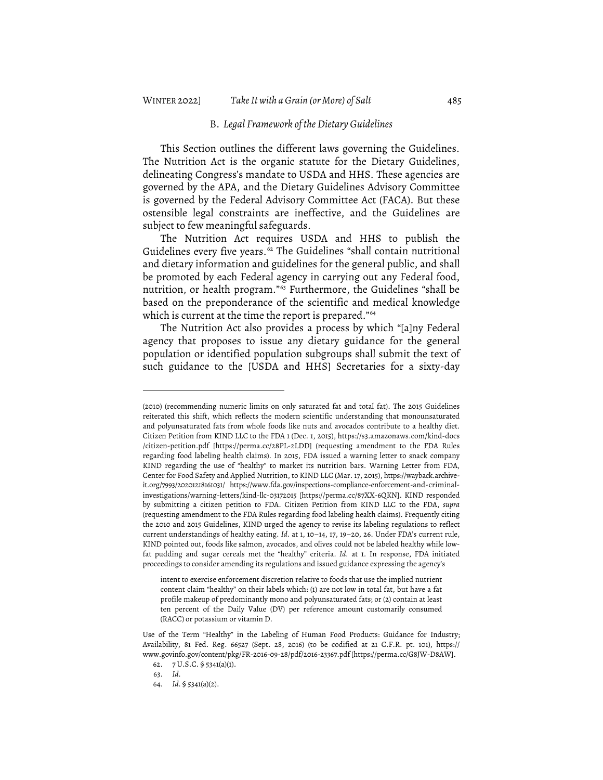#### B. *Legal Framework of theDietary Guidelines*

This Section outlines the different laws governing the Guidelines. The Nutrition Act is the organic statute for the Dietary Guidelines, delineating Congress's mandate to USDA and HHS. These agencies are governed by the APA, and the Dietary Guidelines Advisory Committee is governed by the Federal Advisory Committee Act (FACA). But these ostensible legal constraints are ineffective, and the Guidelines are subject to few meaningful safeguards.

The Nutrition Act requires USDA and HHS to publish the Guidelines every five years. $^{62}$  The Guidelines "shall contain nutritional and dietary information and guidelines for the general public, and shall be promoted by each Federal agency in carrying out any Federal food, nutrition, or health program."63 Furthermore, the Guidelines "shall be based on the preponderance of the scientific and medical knowledge which is current at the time the report is prepared."<sup>64</sup>

The Nutrition Act also provides a process by which "[a]ny Federal agency that proposes to issue any dietary guidance for the general population or identified population subgroups shall submit the text of such guidance to the [USDA and HHS] Secretaries for a sixty-day

<sup>(2010)</sup> (recommending numeric limits on only saturated fat and total fat). The 2015 Guidelines reiterated this shift, which reflects the modern scientific understanding that monounsaturated and polyunsaturated fats from whole foods like nuts and avocados contribute to a healthy diet. Citizen Petition from KIND LLC to the FDA 1 (Dec. 1, 2015), https://s3.amazonaws.com/kind-docs /citizen-petition.pdf [https://perma.cc/28PL-2LDD] (requesting amendment to the FDA Rules regarding food labeling health claims). In 2015, FDA issued a warning letter to snack company KIND regarding the use of "healthy" to market its nutrition bars. Warning Letter from FDA, Center for Food Safety and Applied Nutrition, to KIND LLC (Mar. 17, 2015), https://wayback.archiveit.org/7993/20201218161031/ https://www.fda.gov/inspections-compliance-enforcement-and-criminalinvestigations/warning-letters/kind-llc-03172015 [https://perma.cc/87XX-6QKN]. KIND responded by submitting a citizen petition to FDA. Citizen Petition from KIND LLC to the FDA, *supra* (requesting amendment to the FDA Rules regarding food labeling health claims). Frequently citing the 2010 and 2015 Guidelines, KIND urged the agency to revise its labeling regulations to reflect current understandings of healthy eating. *Id.* at 1, 10–14, 17, 19–20, 26. Under FDA's current rule, KIND pointed out, foods like salmon, avocados, and olives could not be labeled healthy while lowfat pudding and sugar cereals met the "healthy" criteria. *Id.* at 1. In response, FDA initiated proceedings to consider amending its regulations and issued guidance expressing the agency's

intent to exercise enforcement discretion relative to foods that use the implied nutrient content claim "healthy" on their labels which: (1) are not low in total fat, but have a fat profile makeup of predominantly mono and polyunsaturated fats; or (2) contain at least ten percent of the Daily Value (DV) per reference amount customarily consumed (RACC) or potassium or vitamin D.

Use of the Term "Healthy" in the Labeling of Human Food Products: Guidance for Industry; Availability, 81 Fed. Reg. 66527 (Sept. 28, 2016) (to be codified at 21 C.F.R. pt. 101), https:// www.govinfo.gov/content/pkg/FR-2016-09-28/pdf/2016-23367.pdf [https://perma.cc/G8JW-D8AW].

<sup>62.</sup> 7 U.S.C. § 5341(a)(1).

<sup>63.</sup> *Id.*

<sup>64.</sup> *Id.* § 5341(a)(2).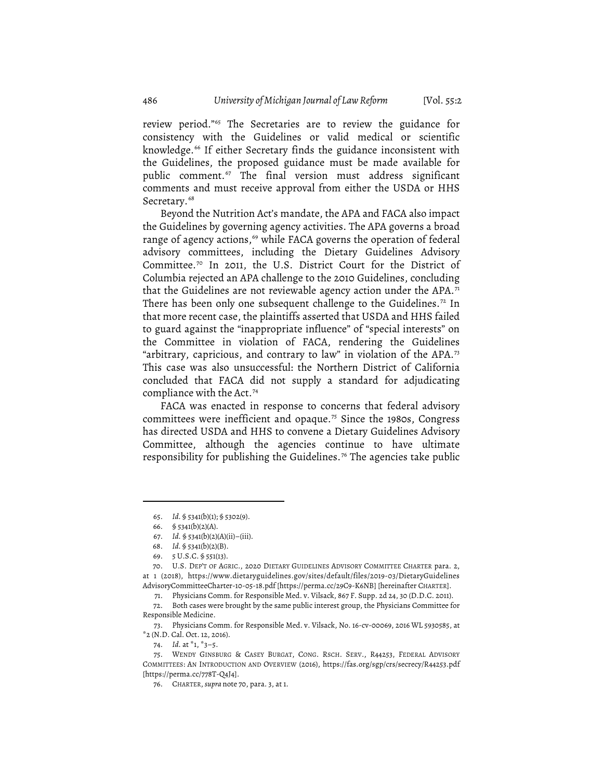review period."65 The Secretaries are to review the guidance for consistency with the Guidelines or valid medical or scientific knowledge. <sup>66</sup> If either Secretary finds the guidance inconsistent with the Guidelines, the proposed guidance must be made available for public comment. <sup>67</sup> The final version must address significant comments and must receive approval from either the USDA or HHS Secretary. 68

Beyond the Nutrition Act's mandate, the APA and FACA also impact the Guidelines by governing agency activities. The APA governs a broad range of agency actions,<sup>69</sup> while FACA governs the operation of federal advisory committees, including the Dietary Guidelines Advisory Committee. <sup>70</sup> In 2011, the U.S. District Court for the District of Columbia rejected an APA challenge to the 2010 Guidelines, concluding that the Guidelines are not reviewable agency action under the APA.<sup>71</sup> There has been only one subsequent challenge to the Guidelines. $^{72}$  In that more recent case, the plaintiffs asserted that USDA and HHS failed to guard against the "inappropriate influence" of "special interests" on the Committee in violation of FACA, rendering the Guidelines "arbitrary, capricious, and contrary to law" in violation of the APA.73 This case was also unsuccessful: the Northern District of California concluded that FACA did not supply a standard for adjudicating compliance with the Act. 74

FACA was enacted in response to concerns that federal advisory committees were inefficient and opaque. <sup>75</sup> Since the 1980s, Congress has directed USDA and HHS to convene a Dietary Guidelines Advisory Committee, although the agencies continue to have ultimate responsibility for publishing the Guidelines. <sup>76</sup> The agencies take public

<sup>65.</sup> *Id.* § 5341(b)(1); § 5302(9).

<sup>66. § 5341(</sup>b)(2)(A).

<sup>67.</sup> *Id.* § 5341(b)(2)(A)(ii)–(iii).

<sup>68.</sup> *Id.* § 5341(b)(2)(B).

<sup>69.</sup> 5 U.S.C. § 551(13).

<sup>70.</sup> U.S. DEP'T OF AGRIC., 2020 DIETARY GUIDELINES ADVISORY COMMITTEE CHARTER para. 2, at 1 (2018), https://www.dietaryguidelines.gov/sites/default/files/2019-03/DietaryGuidelines AdvisoryCommitteeCharter-10-05-18.pdf [https://perma.cc/29C9-K6NB] [hereinafter CHARTER].

<sup>71.</sup> Physicians Comm. for Responsible Med. v. Vilsack, 867 F. Supp. 2d 24, 30 (D.D.C. 2011).

<sup>72.</sup> Both cases were brought by the same public interest group, the Physicians Committee for Responsible Medicine.

<sup>73.</sup> Physicians Comm. for Responsible Med. v. Vilsack, No. 16-cv-00069, 2016 WL 5930585, at \*2 (N.D. Cal. Oct. 12, 2016).

<sup>74.</sup> *Id.* at \*1, \*3–5.

<sup>75.</sup> WENDY GINSBURG & CASEY BURGAT, CONG. RSCH. SERV., R44253, FEDERAL ADVISORY COMMITTEES: AN INTRODUCTION AND OVERVIEW (2016), https://fas.org/sgp/crs/secrecy/R44253.pdf [https://perma.cc/778T-Q4J4].

<sup>76.</sup> CHARTER, *supra* note 70, para. 3, at 1.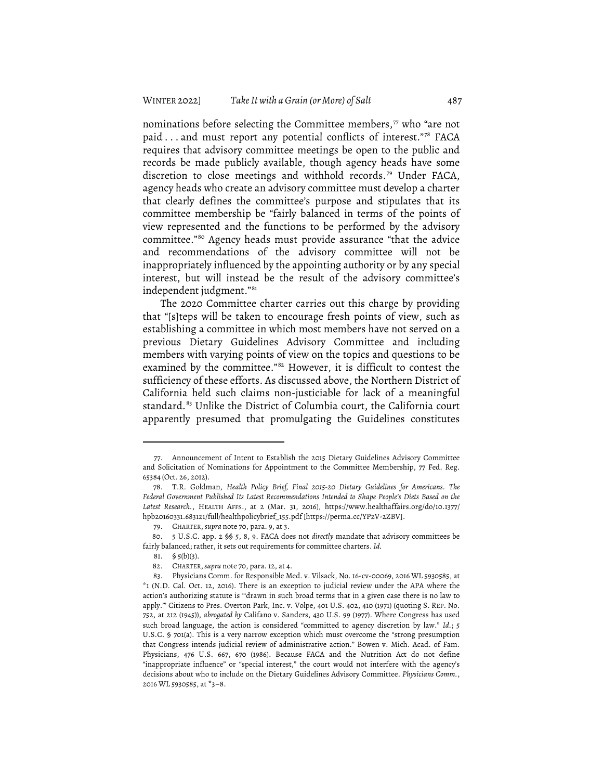nominations before selecting the Committee members,<sup>77</sup> who "are not paid ... and must report any potential conflicts of interest."78 FACA requires that advisory committee meetings be open to the public and records be made publicly available, though agency heads have some discretion to close meetings and withhold records. <sup>79</sup> Under FACA, agency heads who create an advisory committee must develop a charter that clearly defines the committee's purpose and stipulates that its committee membership be "fairly balanced in terms of the points of view represented and the functions to be performed by the advisory committee."80 Agency heads must provide assurance "that the advice and recommendations of the advisory committee will not be inappropriately influenced by the appointing authority or by any special interest, but will instead be the result of the advisory committee's independent judgment."81

The 2020 Committee charter carries out this charge by providing that "[s]teps will be taken to encourage fresh points of view, such as establishing a committee in which most members have not served on a previous Dietary Guidelines Advisory Committee and including members with varying points of view on the topics and questions to be examined by the committee."<sup>82</sup> However, it is difficult to contest the sufficiency of these efforts. As discussed above, the Northern District of California held such claims non-justiciable for lack of a meaningful standard. <sup>83</sup> Unlike the District of Columbia court, the California court apparently presumed that promulgating the Guidelines constitutes

<sup>77.</sup> Announcement of Intent to Establish the 2015 Dietary Guidelines Advisory Committee and Solicitation of Nominations for Appointment to the Committee Membership, 77 Fed. Reg. 65384 (Oct. 26, 2012).

<sup>78.</sup> T.R. Goldman, *Health Policy Brief, Final 2015-20 Dietary Guidelines for Americans. The Federal Government Published Its Latest Recommendations Intended to Shape People's Diets Based on the Latest Research.*, HEALTH AFFS., at 2 (Mar. 31, 2016), https://www.healthaffairs.org/do/10.1377/ hpb20160331.683121/full/healthpolicybrief\_155.pdf [https://perma.cc/YP2V-2ZBV].

<sup>79.</sup> CHARTER, *supra* note 70, para. 9, at 3.

<sup>80.</sup> 5 U.S.C. app. 2 §§ 5, 8, 9. FACA does not *directly* mandate that advisory committees be fairly balanced; rather, it sets out requirements for committee charters. *Id.* 

<sup>81. § 5(</sup>b)(3).

<sup>82.</sup> CHARTER,*supra* note 70, para. 12, at 4.

<sup>83.</sup> Physicians Comm. for Responsible Med. v. Vilsack, No. 16-cv-00069, 2016 WL 5930585, at \*1 (N.D. Cal. Oct. 12, 2016). There is an exception to judicial review under the APA where the action's authorizing statute is "'drawn in such broad terms that in a given case there is no law to apply.'" Citizens to Pres. Overton Park, Inc. v. Volpe, 401 U.S. 402, 410 (1971) (quoting S. REP. No. 752, at 212 (1945)), *abrogated by* Califano v. Sanders, 430 U.S. 99 (1977). Where Congress has used such broad language, the action is considered "committed to agency discretion by law." *Id.*; 5 U.S.C. § 701(a). This is a very narrow exception which must overcome the "strong presumption that Congress intends judicial review of administrative action." Bowen v. Mich. Acad. of Fam. Physicians, 476 U.S. 667, 670 (1986). Because FACA and the Nutrition Act do not define "inappropriate influence" or "special interest," the court would not interfere with the agency's decisions about who to include on the Dietary Guidelines Advisory Committee. *Physicians Comm.*, 2016 WL 5930585, at \*3–8.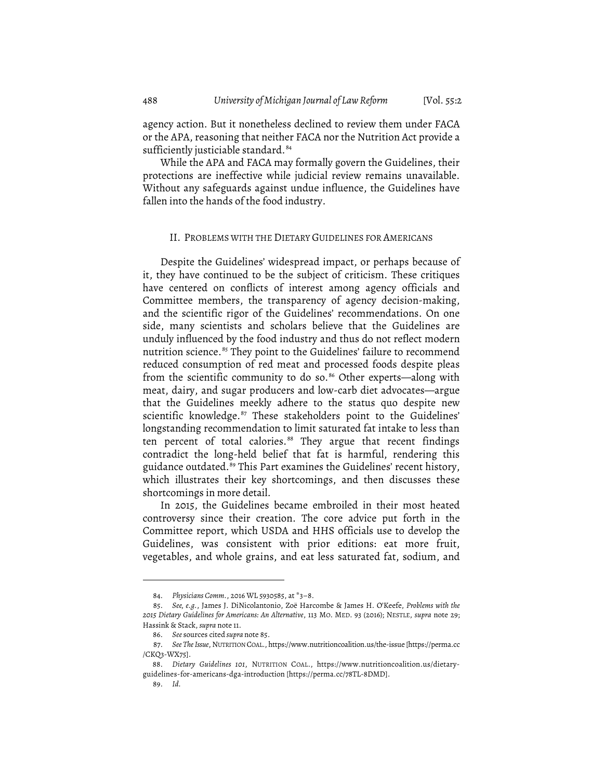agency action. But it nonetheless declined to review them under FACA or the APA, reasoning that neither FACA nor the Nutrition Act provide a sufficiently justiciable standard. 84

While the APA and FACA may formally govern the Guidelines, their protections are ineffective while judicial review remains unavailable. Without any safeguards against undue influence, the Guidelines have fallen into the hands of the food industry.

#### II. PROBLEMS WITH THE DIETARY GUIDELINES FOR AMERICANS

Despite the Guidelines' widespread impact, or perhaps because of it, they have continued to be the subject of criticism. These critiques have centered on conflicts of interest among agency officials and Committee members, the transparency of agency decision-making, and the scientific rigor of the Guidelines' recommendations. On one side, many scientists and scholars believe that the Guidelines are unduly influenced by the food industry and thus do not reflect modern nutrition science. <sup>85</sup> They point to the Guidelines' failure to recommend reduced consumption of red meat and processed foods despite pleas from the scientific community to do so. <sup>86</sup> Other experts—along with meat, dairy, and sugar producers and low-carb diet advocates—argue that the Guidelines meekly adhere to the status quo despite new scientific knowledge. <sup>87</sup> These stakeholders point to the Guidelines' longstanding recommendation to limit saturated fat intake to less than ten percent of total calories. <sup>88</sup> They argue that recent findings contradict the long-held belief that fat is harmful, rendering this guidance outdated. <sup>89</sup> This Part examines the Guidelines' recent history, which illustrates their key shortcomings, and then discusses these shortcomings in more detail.

In 2015, the Guidelines became embroiled in their most heated controversy since their creation. The core advice put forth in the Committee report, which USDA and HHS officials use to develop the Guidelines, was consistent with prior editions: eat more fruit, vegetables, and whole grains, and eat less saturated fat, sodium, and

<sup>84.</sup> *Physicians Comm.*, 2016 WL 5930585, at \*3–8.

<sup>85.</sup> *See, e.g.*, James J. DiNicolantonio, Zoë Harcombe & James H. O'Keefe, *Problems with the 2015 Dietary Guidelines for Americans: An Alternative*, 113 MO. MED. 93 (2016); NESTLE, *supra* note 29; Hassink & Stack, *supra* note 11.

<sup>86.</sup> *See* sources cited *supra* note 85.

<sup>87.</sup> *See The Issue*, NUTRITION COAL., https://www.nutritioncoalition.us/the-issue [https://perma.cc /CKQ3-WX75].

<sup>88.</sup> *Dietary Guidelines 101*, NUTRITION COAL., https://www.nutritioncoalition.us/dietaryguidelines-for-americans-dga-introduction [https://perma.cc/78TL-8DMD].

<sup>89.</sup> *Id.*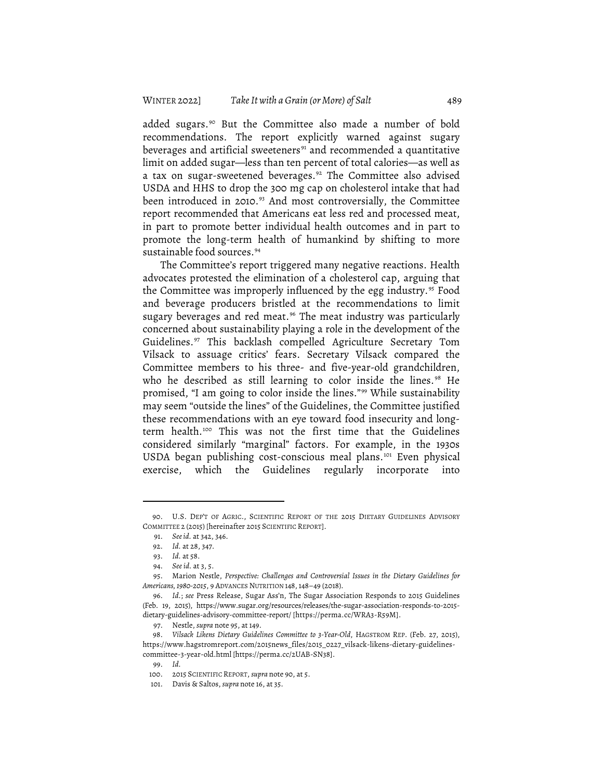added sugars. <sup>90</sup> But the Committee also made a number of bold recommendations. The report explicitly warned against sugary beverages and artificial sweeteners<sup>91</sup> and recommended a quantitative limit on added sugar—less than ten percent of total calories—as well as a tax on sugar-sweetened beverages. <sup>92</sup> The Committee also advised USDA and HHS to drop the 300 mg cap on cholesterol intake that had been introduced in 2010. <sup>93</sup> And most controversially, the Committee report recommended that Americans eat less red and processed meat, in part to promote better individual health outcomes and in part to promote the long-term health of humankind by shifting to more sustainable food sources. 94

The Committee's report triggered many negative reactions. Health advocates protested the elimination of a cholesterol cap, arguing that the Committee was improperly influenced by the egg industry. <sup>95</sup> Food and beverage producers bristled at the recommendations to limit sugary beverages and red meat. <sup>96</sup> The meat industry was particularly concerned about sustainability playing a role in the development of the Guidelines. <sup>97</sup> This backlash compelled Agriculture Secretary Tom Vilsack to assuage critics' fears. Secretary Vilsack compared the Committee members to his three- and five-year-old grandchildren, who he described as still learning to color inside the lines. <sup>98</sup> He promised, "I am going to color inside the lines."99 While sustainability may seem "outside the lines" of the Guidelines, the Committee justified these recommendations with an eye toward food insecurity and longterm health. <sup>100</sup> This was not the first time that the Guidelines considered similarly "marginal" factors. For example, in the 1930s USDA began publishing cost-conscious meal plans.<sup>101</sup> Even physical exercise, which the Guidelines regularly incorporate into

<sup>90.</sup> U.S. DEP'T OF AGRIC., SCIENTIFIC REPORT OF THE 2015 DIETARY GUIDELINES ADVISORY COMMITTEE 2 (2015) [hereinafter 2015 SCIENTIFIC REPORT].

<sup>91.</sup> *Seeid.* at 342, 346.

<sup>92.</sup> *Id.* at 28, 347.

<sup>93.</sup> *Id.* at 58.

<sup>94.</sup> *See id.* at 3, 5.

<sup>95.</sup> Marion Nestle, *Perspective: Challenges and Controversial Issues in the Dietary Guidelines for Americans, 1980-2015*, 9 ADVANCES NUTRITION 148, 148–49 (2018).

<sup>96.</sup> *Id.*; *see* Press Release, Sugar Ass'n, The Sugar Association Responds to 2015 Guidelines (Feb. 19, 2015), https://www.sugar.org/resources/releases/the-sugar-association-responds-to-2015 dietary-guidelines-advisory-committee-report/ [https://perma.cc/WRA3-R59M].

<sup>97.</sup> Nestle, *supra* note 95, at 149.

<sup>98.</sup> *Vilsack Likens Dietary Guidelines Committee to 3-Year-Old*, HAGSTROM REP. (Feb. 27, 2015), https://www.hagstromreport.com/2015news\_files/2015\_0227\_vilsack-likens-dietary-guidelinescommittee-3-year-old.html [https://perma.cc/2UAB-SN38].

<sup>99.</sup> *Id.*

<sup>100.</sup> 2015 SCIENTIFIC REPORT, *supra* note 90, at 5.

<sup>101.</sup> Davis & Saltos, *supra* note 16, at 35.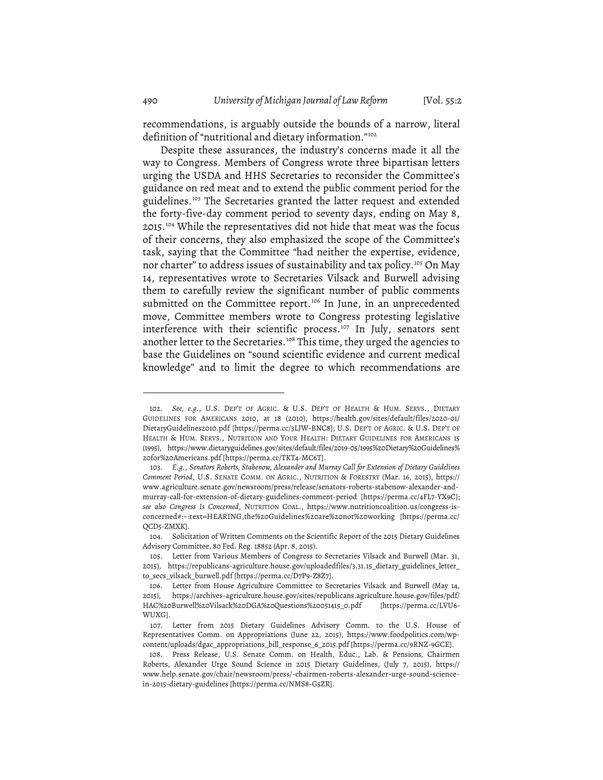recommendations, is arguably outside the bounds of a narrow, literal definition of "nutritional and dietary information."<sup>102</sup>

Despite these assurances, the industry's concerns made it all the way to Congress. Members of Congress wrote three bipartisan letters urging the USDA and HHS Secretaries to reconsider the Committee's guidance on red meat and to extend the public comment period for the guidelines. <sup>103</sup> The Secretaries granted the latter request and extended the forty-five-day comment period to seventy days, ending on May 8, 2015. <sup>104</sup> While the representatives did not hide that meat was the focus of their concerns, they also emphasized the scope of the Committee's task, saying that the Committee "had neither the expertise, evidence, nor charter" to address issues of sustainability and tax policy. <sup>105</sup> On May 14, representatives wrote to Secretaries Vilsack and Burwell advising them to carefully review the significant number of public comments submitted on the Committee report. <sup>106</sup> In June, in an unprecedented move, Committee members wrote to Congress protesting legislative interference with their scientific process. <sup>107</sup> In July, senators sent another letter to the Secretaries.<sup>108</sup> This time, they urged the agencies to base the Guidelines on "sound scientific evidence and current medical knowledge" and to limit the degree to which recommendations are

<sup>102.</sup> *See, e.g.*, U.S. DEP'T OF AGRIC. & U.S. DEP'T OF HEALTH & HUM. SERVS., DIETARY GUIDELINES FOR AMERICANS 2010, at 18 (2010), https://health.gov/sites/default/files/2020-01/ DietaryGuidelines2010.pdf [https://perma.cc/3LJW-BNC8]; U.S. DEP'T OF AGRIC. & U.S. DEP'T OF HEALTH & HUM. SERVS., NUTRITION AND YOUR HEALTH: DIETARY GUIDELINES FOR AMERICANS 15 (1995), https://www.dietaryguidelines.gov/sites/default/files/2019-05/1995%20Dietary%20Guidelines% 20for%20Americans.pdf [https://perma.cc/TKT4-MC6T].

<sup>103.</sup> *E.g.*, *Senators Roberts, Stabenow, Alexander and Murray Call for Extension of Dietary Guidelines Comment Period*, U.S. SENATE COMM. ON AGRIC., NUTRITION & FORESTRY (Mar. 16, 2015), https:// www.agriculture.senate.gov/newsroom/press/release/senators-roberts-stabenow-alexander-andmurray-call-for-extension-of-dietary-guidelines-comment-period [https://perma.cc/4FL7-YX9C]; *see also Congress Is Concerned*, NUTRITION COAL., https://www.nutritioncoalition.us/congress-isconcerned#:~:text=HEARING,the%20Guidelines%20are%20not%20working [https://perma.cc/ QCD5-ZMXK].

<sup>104.</sup> Solicitation of Written Comments on the Scientific Report of the 2015 Dietary Guidelines Advisory Committee, 80 Fed. Reg. 18852 (Apr. 8, 2015).

<sup>105.</sup> Letter from Various Members of Congress to Secretaries Vilsack and Burwell (Mar. 31, 2015), https://republicans-agriculture.house.gov/uploadedfiles/3.31.15\_dietary\_guidelines\_letter\_ to\_secs\_vilsack\_burwell.pdf [https://perma.cc/D7P9-Z8Z7].

<sup>106.</sup> Letter from House Agriculture Committee to Secretaries Vilsack and Burwell (May 14, 2015), https://archives-agriculture.house.gov/sites/republicans.agriculture.house.gov/files/pdf/ HAC%20Burwell%20Vilsack%20DGA%20Questions%20051415\_0.pdf [https://perma.cc/LVU6- WUXG].

<sup>107.</sup> Letter from 2015 Dietary Guidelines Advisory Comm. to the U.S. House of Representatives Comm. on Appropriations (June 22, 2015), https://www.foodpolitics.com/wpcontent/uploads/dgac\_appropriations\_bill\_response\_6\_2015.pdf [https://perma.cc/9RNZ-9GCE].

<sup>108.</sup> Press Release, U.S. Senate Comm. on Health, Educ., Lab. & Pensions*,* Chairmen Roberts, Alexander Urge Sound Science in 2015 Dietary Guidelines, (July 7, 2015), https:// www.help.senate.gov/chair/newsroom/press/-chairmen-roberts-alexander-urge-sound-sciencein-2015-dietary-guidelines [https://perma.cc/NMS8-G5ZR].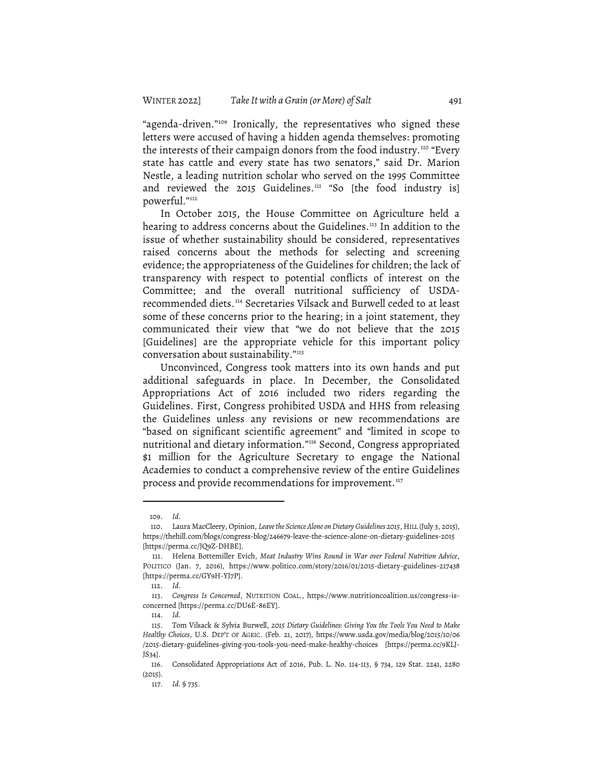"agenda-driven."109 Ironically, the representatives who signed these letters were accused of having a hidden agenda themselves: promoting the interests of their campaign donors from the food industry. <sup>110</sup> "Every state has cattle and every state has two senators," said Dr. Marion Nestle, a leading nutrition scholar who served on the 1995 Committee and reviewed the 2015 Guidelines.<sup>111</sup> "So [the food industry is] powerful."112

In October 2015, the House Committee on Agriculture held a hearing to address concerns about the Guidelines. <sup>113</sup> In addition to the issue of whether sustainability should be considered, representatives raised concerns about the methods for selecting and screening evidence; the appropriateness of the Guidelines for children; the lack of transparency with respect to potential conflicts of interest on the Committee; and the overall nutritional sufficiency of USDArecommended diets. <sup>114</sup> Secretaries Vilsack and Burwell ceded to at least some of these concerns prior to the hearing; in a joint statement, they communicated their view that "we do not believe that the 2015 [Guidelines] are the appropriate vehicle for this important policy conversation about sustainability."115

Unconvinced, Congress took matters into its own hands and put additional safeguards in place. In December, the Consolidated Appropriations Act of 2016 included two riders regarding the Guidelines. First, Congress prohibited USDA and HHS from releasing the Guidelines unless any revisions or new recommendations are "based on significant scientific agreement" and "limited in scope to nutritional and dietary information."116 Second, Congress appropriated \$1 million for the Agriculture Secretary to engage the National Academies to conduct a comprehensive review of the entire Guidelines process and provide recommendations for improvement.<sup>117</sup>

<sup>109.</sup> *Id.*

<sup>110.</sup> Laura MacCleery, Opinion, *Leavethe Science Alone onDietary Guidelines 2015*, HILL (July 3, 2015), https://thehill.com/blogs/congress-blog/246679-leave-the-science-alone-on-dietary-guidelines-2015 [https://perma.cc/JQ9Z-DHBE].

<sup>111.</sup> Helena Bottemiller Evich, *Meat Industry Wins Round in War over Federal Nutrition Advice*, POLITICO (Jan. 7, 2016), https://www.politico.com/story/2016/01/2015-dietary-guidelines-217438 [https://perma.cc/GY9H-YJ7P].

<sup>112.</sup> *Id.*

<sup>113.</sup> *Congress Is Concerned*, NUTRITION COAL., https://www.nutritioncoalition.us/congress-isconcerned [https://perma.cc/DU6E-86EY].

<sup>114.</sup> *Id.*

<sup>115.</sup> Tom Vilsack & Sylvia Burwell, *2015 Dietary Guidelines: Giving You the Tools You Need to Make Healthy Choices*, U.S. DEP'T OF AGRIC. (Feb. 21, 2017), https://www.usda.gov/media/blog/2015/10/06 /2015-dietary-guidelines-giving-you-tools-you-need-make-healthy-choices [https://perma.cc/9KLJ-JS34].

<sup>116.</sup> Consolidated Appropriations Act of 2016, Pub. L. No. 114-113, § 734, 129 Stat. 2241, 2280 (2015).

<sup>117.</sup> *Id.* § 735.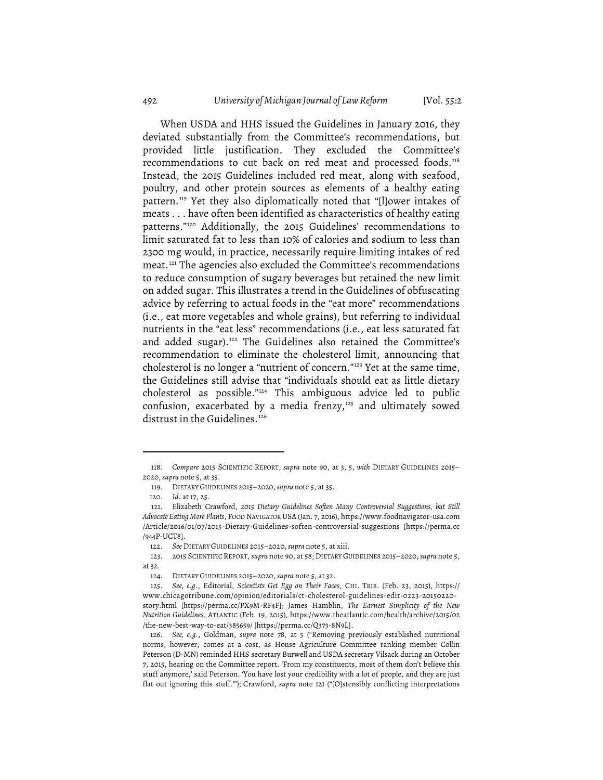When USDA and HHS issued the Guidelines in January 2016, they deviated substantially from the Committee's recommendations, but provided little justification. They excluded the Committee's recommendations to cut back on red meat and processed foods. 118 Instead, the 2015 Guidelines included red meat, along with seafood, poultry, and other protein sources as elements of a healthy eating pattern. <sup>119</sup> Yet they also diplomatically noted that "[l]ower intakes of meats ... have often been identified as characteristics of healthy eating patterns."120 Additionally, the 2015 Guidelines' recommendations to limit saturated fat to less than 10% of calories and sodium to less than 2300 mg would, in practice, necessarily require limiting intakes of red meat. <sup>121</sup> The agencies also excluded the Committee's recommendations to reduce consumption of sugary beverages but retained the new limit on added sugar. This illustrates a trend in the Guidelines of obfuscating advice by referring to actual foods in the "eat more" recommendations (i.e., eat more vegetables and whole grains), but referring to individual nutrients in the "eat less" recommendations (i.e., eat less saturated fat and added sugar). <sup>122</sup> The Guidelines also retained the Committee's recommendation to eliminate the cholesterol limit, announcing that cholesterol is no longer a "nutrient of concern."123 Yet at the same time, the Guidelines still advise that "individuals should eat as little dietary cholesterol as possible."124 This ambiguous advice led to public confusion, exacerbated by a media frenzy,<sup>125</sup> and ultimately sowed distrust in the Guidelines. 126

<sup>118.</sup> *Compare* 2015 SCIENTIFIC REPORT, *supra* note 90, at 3, 5, *with* DIETARY GUIDELINES 2015– 2020,*supra* note 5, at 35.

<sup>119.</sup> DIETARY GUIDELINES 2015–2020,*supra* note 5, at 35.

<sup>120.</sup> *Id.* at 17, 25.

<sup>121.</sup> Elizabeth Crawford, *2015 Dietary Guidelines Soften Many Controversial Suggestions, but Still Advocate Eating More Plants*, FOOD NAVIGATOR USA (Jan. 7, 2016), https://www.foodnavigator-usa.com /Article/2016/01/07/2015-Dietary-Guidelines-soften-controversial-suggestions [https://perma.cc /944P-UCT8].

<sup>122.</sup> *See* DIETARY GUIDELINES 2015–2020,*supra* note 5, at xiii.

<sup>123.</sup> 2015 SCIENTIFIC REPORT, *supra* note 90, at 58; DIETARY GUIDELINES 2015–2020,*supra* note 5, at 32.

<sup>124.</sup> DIETARY GUIDELINES 2015–2020, *supra* note 5, at 32.

<sup>125.</sup> *See, e.g.*, Editorial, *Scientists Get Egg on Their Faces*, CHI. TRIB. (Feb. 23, 2015), https:// www.chicagotribune.com/opinion/editorials/ct-cholesterol-guidelines-edit-0223-20150220 story.html [https://perma.cc/PX9M-RF4F]; James Hamblin, *The Earnest Simplicity of the New Nutrition Guidelines*, ATLANTIC (Feb. 19, 2015), https://www.theatlantic.com/health/archive/2015/02 /the-new-best-way-to-eat/385659/ [https://perma.cc/Q373-8N9L].

<sup>126.</sup> *See, e.g.*, Goldman, *supra* note 78, at 5 ("Removing previously established nutritional norms, however, comes at a cost, as House Agriculture Committee ranking member Collin Peterson (D-MN) reminded HHS secretary Burwell and USDA secretary Vilsack during an October 7, 2015, hearing on the Committee report. 'From my constituents, most of them don't believe this stuff anymore,' said Peterson. 'You have lost your credibility with a lot of people, and they are just flat out ignoring this stuff.'"); Crawford, *supra* note 121 ("[O]stensibly conflicting interpretations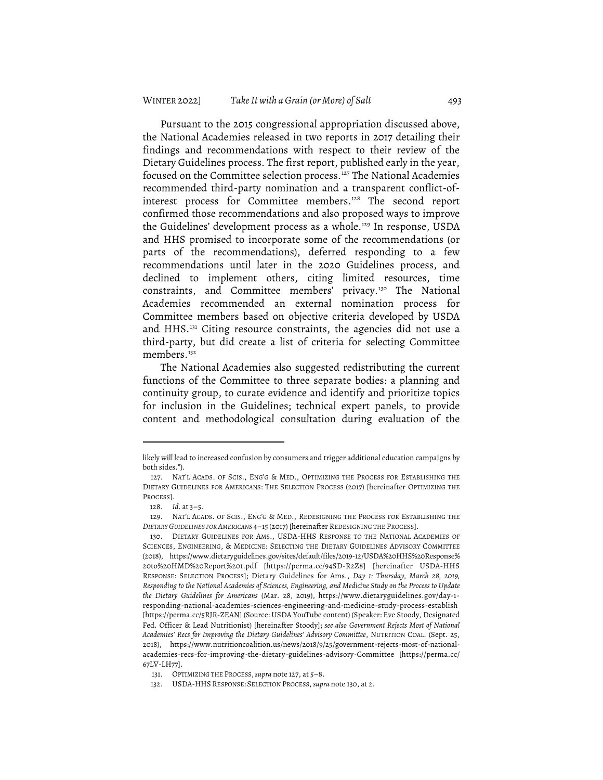Pursuant to the 2015 congressional appropriation discussed above, the National Academies released in two reports in 2017 detailing their findings and recommendations with respect to their review of the Dietary Guidelines process. The first report, published early in the year, focused on the Committee selection process.<sup>127</sup> The National Academies recommended third-party nomination and a transparent conflict-ofinterest process for Committee members. <sup>128</sup> The second report confirmed those recommendations and also proposed ways to improve the Guidelines' development process as a whole. <sup>129</sup> In response, USDA and HHS promised to incorporate some of the recommendations (or parts of the recommendations), deferred responding to a few recommendations until later in the 2020 Guidelines process, and declined to implement others, citing limited resources, time constraints, and Committee members' privacy. <sup>130</sup> The National Academies recommended an external nomination process for Committee members based on objective criteria developed by USDA and HHS. <sup>131</sup> Citing resource constraints, the agencies did not use a third-party, but did create a list of criteria for selecting Committee members. 132

The National Academies also suggested redistributing the current functions of the Committee to three separate bodies: a planning and continuity group, to curate evidence and identify and prioritize topics for inclusion in the Guidelines; technical expert panels, to provide content and methodological consultation during evaluation of the

likely will lead to increased confusion by consumers and trigger additional education campaigns by both sides.").

<sup>127.</sup> NAT'L ACADS. OF SCIS., ENG'G & MED., OPTIMIZING THE PROCESS FOR ESTABLISHING THE DIETARY GUIDELINES FOR AMERICANS: THE SELECTION PROCESS (2017) [hereinafter OPTIMIZING THE PROCESS].

<sup>128.</sup> *Id.* at 3–5.

<sup>129.</sup> NAT'L ACADS. OF SCIS., ENG'G & MED., REDESIGNING THE PROCESS FOR ESTABLISHING THE *DIETARY GUIDELINES FOR AMERICANS* 4–15 (2017) [hereinafter REDESIGNING THE PROCESS].

<sup>130.</sup> DIETARY GUIDELINES FOR AMS., USDA-HHS RESPONSE TO THE NATIONAL ACADEMIES OF SCIENCES, ENGINEERING, & MEDICINE: SELECTING THE DIETARY GUIDELINES ADVISORY COMMITTEE (2018), https://www.dietaryguidelines.gov/sites/default/files/2019-12/USDA%20HHS%20Response% 20to%20HMD%20Report%201.pdf [https://perma.cc/94SD-R2Z8] [hereinafter USDA-HHS RESPONSE: SELECTION PROCESS]; Dietary Guidelines for Ams., *Day 1: Thursday, March 28, 2019, Responding to the National Academies of Sciences, Engineering, and Medicine Study on the Process to Update the Dietary Guidelines for Americans* (Mar. 28, 2019), https://www.dietaryguidelines.gov/day-1 responding-national-academies-sciences-engineering-and-medicine-study-process-establish [https://perma.cc/5RJR-ZEAN] (Source: USDA YouTube content) (Speaker: Eve Stoody, Designated Fed. Officer & Lead Nutritionist) [hereinafter Stoody]; *see also Government Rejects Most of National Academies' Recs for Improving the Dietary Guidelines' Advisory Committee*, NUTRITION COAL. (Sept. 25, 2018), https://www.nutritioncoalition.us/news/2018/9/25/government-rejects-most-of-nationalacademies-recs-for-improving-the-dietary-guidelines-advisory-Committee [https://perma.cc/ 67LV-LH77].

<sup>131.</sup> OPTIMIZING THE PROCESS,*supra* note 127, at 5–8.

<sup>132.</sup> USDA-HHS RESPONSE: SELECTION PROCESS,*supra* note 130, at 2.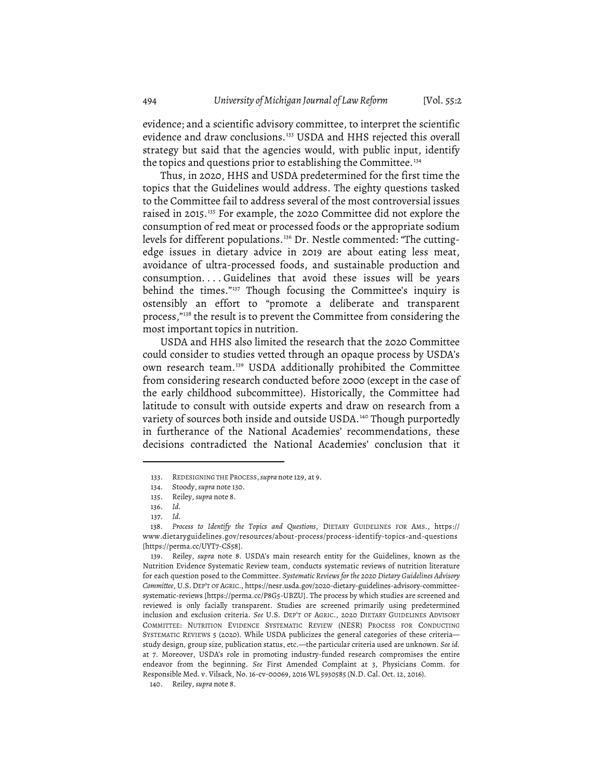evidence; and a scientific advisory committee, to interpret the scientific evidence and draw conclusions. <sup>133</sup> USDA and HHS rejected this overall strategy but said that the agencies would, with public input, identify the topics and questions prior to establishing the Committee. 134

Thus, in 2020, HHS and USDA predetermined for the first time the topics that the Guidelines would address. The eighty questions tasked to the Committee fail to address several of the most controversial issues raised in 2015. <sup>135</sup> For example, the 2020 Committee did not explore the consumption of red meat or processed foods or the appropriate sodium levels for different populations. <sup>136</sup> Dr. Nestle commented: "The cuttingedge issues in dietary advice in 2019 are about eating less meat, avoidance of ultra-processed foods, and sustainable production and consumption....Guidelines that avoid these issues will be years behind the times."137 Though focusing the Committee's inquiry is ostensibly an effort to "promote a deliberate and transparent process,"<sup>138</sup> the result is to prevent the Committee from considering the most important topics in nutrition.

USDA and HHS also limited the research that the 2020 Committee could consider to studies vetted through an opaque process by USDA's own research team. <sup>139</sup> USDA additionally prohibited the Committee from considering research conducted before 2000 (except in the case of the early childhood subcommittee). Historically, the Committee had latitude to consult with outside experts and draw on research from a variety of sources both inside and outside USDA.<sup>140</sup> Though purportedly in furtherance of the National Academies' recommendations, these decisions contradicted the National Academies' conclusion that it

<sup>133.</sup> REDESIGNING THE PROCESS,*supra* note 129, at 9.

<sup>134.</sup> Stoody,*supra* note 130.

<sup>135.</sup> Reiley, *supra* note 8.

<sup>136.</sup> *Id.*

<sup>137.</sup> *Id.*

<sup>138.</sup> *Process to Identify the Topics and Questions*, DIETARY GUIDELINES FOR AMS., https:// www.dietaryguidelines.gov/resources/about-process/process-identify-topics-and-questions [https://perma.cc/UYT7-CS58].

<sup>139.</sup> Reiley, *supra* note 8. USDA's main research entity for the Guidelines, known as the Nutrition Evidence Systematic Review team, conducts systematic reviews of nutrition literature for each question posed to the Committee. *Systematic Reviews for the 2020 Dietary Guidelines Advisory Committee*, U.S. DEP'T OF AGRIC., https://nesr.usda.gov/2020-dietary-guidelines-advisory-committeesystematic-reviews [https://perma.cc/P8G5-UBZU]. The process by which studies are screened and reviewed is only facially transparent. Studies are screened primarily using predetermined inclusion and exclusion criteria. *See* U.S. DEP'T OF AGRIC., 2020 DIETARY GUIDELINES ADVISORY COMMITTEE: NUTRITION EVIDENCE SYSTEMATIC REVIEW (NESR) PROCESS FOR CONDUCTING SYSTEMATIC REVIEWS 5 (2020). While USDA publicizes the general categories of these criteria study design, group size, publication status, etc.—the particular criteria used are unknown. *See id.* at 7. Moreover, USDA's role in promoting industry-funded research compromises the entire endeavor from the beginning. *See* First Amended Complaint at 3, Physicians Comm. for Responsible Med. v. Vilsack, No. 16-cv-00069, 2016 WL 5930585 (N.D. Cal. Oct. 12, 2016).

<sup>140.</sup> Reiley, *supra* note 8.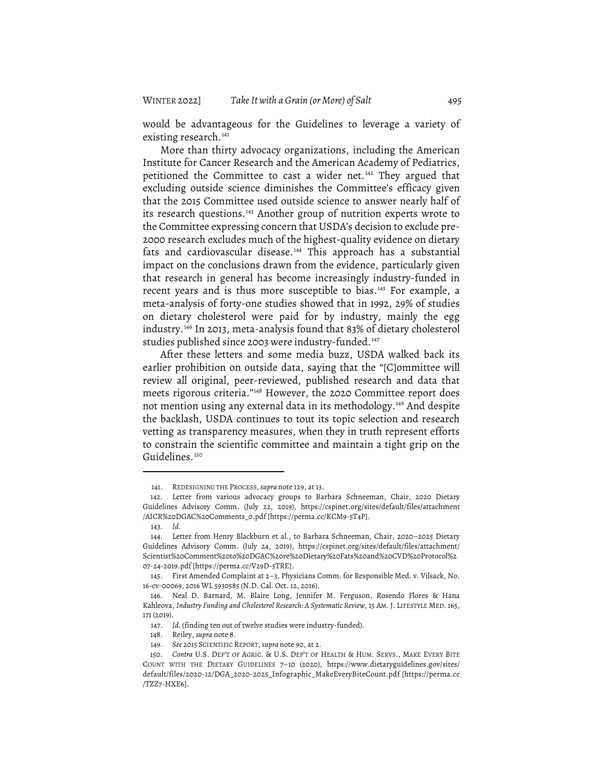would be advantageous for the Guidelines to leverage a variety of existing research. 141

More than thirty advocacy organizations, including the American Institute for Cancer Research and the American Academy of Pediatrics, petitioned the Committee to cast a wider net. <sup>142</sup> They argued that excluding outside science diminishes the Committee's efficacy given that the 2015 Committee used outside science to answer nearly half of its research questions. <sup>143</sup> Another group of nutrition experts wrote to the Committee expressing concern that USDA's decision to exclude pre-2000 research excludes much of the highest-quality evidence on dietary fats and cardiovascular disease. <sup>144</sup> This approach has a substantial impact on the conclusions drawn from the evidence, particularly given that research in general has become increasingly industry-funded in recent years and is thus more susceptible to bias. <sup>145</sup> For example, a meta-analysis of forty-one studies showed that in 1992, 29% of studies on dietary cholesterol were paid for by industry, mainly the egg industry. <sup>146</sup> In 2013, meta-analysis found that 83% of dietary cholesterol studies published since 2003 were industry-funded. 147

After these letters and some media buzz, USDA walked back its earlier prohibition on outside data, saying that the "[C]ommittee will review all original, peer-reviewed, published research and data that meets rigorous criteria."148 However, the 2020 Committee report does not mention using any external data in its methodology. <sup>149</sup> And despite the backlash, USDA continues to tout its topic selection and research vetting as transparency measures, when they in truth represent efforts to constrain the scientific committee and maintain a tight grip on the Guidelines. 150

<sup>141.</sup> REDESIGNING THE PROCESS,*supra* note 129, at 13.

<sup>142.</sup> Letter from various advocacy groups to Barbara Schneeman, Chair, 2020 Dietary Guidelines Advisory Comm. (July 22, 2019), https://cspinet.org/sites/default/files/attachment /AICR%20DGAC%20Comments\_0.pdf [https://perma.cc/KCM9-5T4P].

<sup>143.</sup> *Id.*

<sup>144.</sup> Letter from Henry Blackburn et al., to Barbara Schneeman, Chair, 2020–2025 Dietary Guidelines Advisory Comm. (July 24, 2019), https://cspinet.org/sites/default/files/attachment/ Scientist%20Comment%20to%20DGAC%20re%20Dietary%20Fats%20and%20CVD%20Protocol%2 07-24-2019.pdf [https://perma.cc/V29D-5TRE].

<sup>145.</sup> First Amended Complaint at 2–3, Physicians Comm. for Responsible Med. v. Vilsack, No. 16-cv-00069, 2016 WL 5930585 (N.D. Cal. Oct. 12, 2016).

<sup>146.</sup> Neal D. Barnard, M. Blaire Long, Jennifer M. Ferguson, Rosendo Flores & Hana Kahleova, *Industry Funding and Cholesterol Research: A Systematic Review*, 15 AM. J. LIFESTYLE MED. 165, 171 (2019).

<sup>147.</sup> *Id.* (finding ten out of twelve studies were industry-funded).

<sup>148.</sup> Reiley, *supra* note 8.

<sup>149.</sup> *See* 2015 SCIENTIFIC REPORT, *supra* note 90, at 2.

<sup>150.</sup> *Contra* U.S. DEP'T OF AGRIC. & U.S. DEP'T OF HEALTH & HUM. SERVS., MAKE EVERY BITE COUNT WITH THE DIETARY GUIDELINES 7–10 (2020), https://www.dietaryguidelines.gov/sites/ default/files/2020-12/DGA\_2020-2025\_Infographic\_MakeEveryBiteCount.pdf [https://perma.cc /TZZ7-HXE6].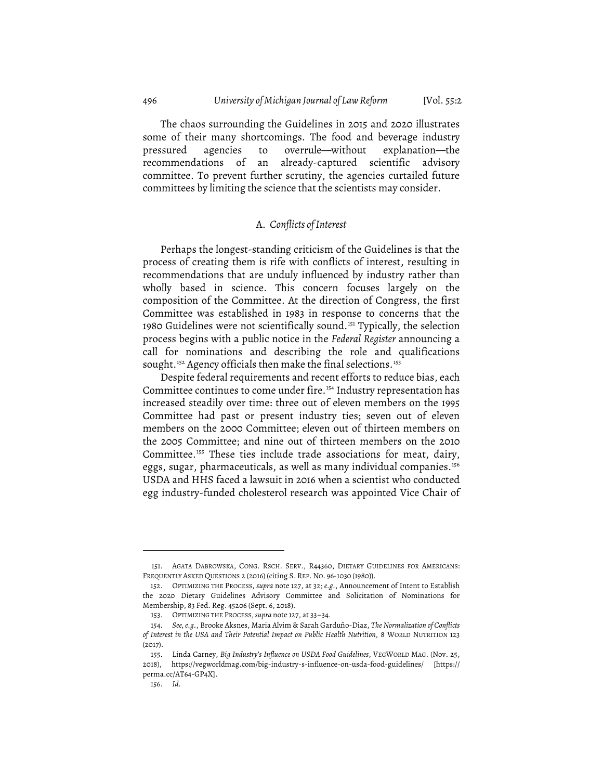The chaos surrounding the Guidelines in 2015 and 2020 illustrates some of their many shortcomings. The food and beverage industry pressured agencies to overrule—without explanation—the recommendations of an already-captured scientific advisory committee. To prevent further scrutiny, the agencies curtailed future committees by limiting the science that the scientists may consider.

## A. *Conflicts of Interest*

Perhaps the longest-standing criticism of the Guidelines is that the process of creating them is rife with conflicts of interest, resulting in recommendations that are unduly influenced by industry rather than wholly based in science. This concern focuses largely on the composition of the Committee. At the direction of Congress, the first Committee was established in 1983 in response to concerns that the 1980 Guidelines were not scientifically sound. <sup>151</sup> Typically, the selection process begins with a public notice in the *Federal Register* announcing a call for nominations and describing the role and qualifications sought. <sup>152</sup> Agency officials then make the final selections. 153

Despite federal requirements and recent efforts to reduce bias, each Committee continues to come under fire. <sup>154</sup> Industry representation has increased steadily over time: three out of eleven members on the 1995 Committee had past or present industry ties; seven out of eleven members on the 2000 Committee; eleven out of thirteen members on the 2005 Committee; and nine out of thirteen members on the 2010 Committee. <sup>155</sup> These ties include trade associations for meat, dairy, eggs, sugar, pharmaceuticals, as well as many individual companies. 156 USDA and HHS faced a lawsuit in 2016 when a scientist who conducted egg industry-funded cholesterol research was appointed Vice Chair of

<sup>151.</sup> AGATA DABROWSKA, CONG. RSCH. SERV., R44360, DIETARY GUIDELINES FOR AMERICANS: FREQUENTLY ASKED QUESTIONS 2 (2016) (citing S. REP. NO. 96-1030 (1980)).

<sup>152.</sup> OPTIMIZING THE PROCESS, *supra* note 127, at 32; *e.g.*, Announcement of Intent to Establish the 2020 Dietary Guidelines Advisory Committee and Solicitation of Nominations for Membership, 83 Fed. Reg. 45206 (Sept. 6, 2018).

<sup>153.</sup> OPTIMIZING THE PROCESS,*supra* note 127, at 33–34.

<sup>154.</sup> *See, e.g.*, Brooke Aksnes, Maria Alvim & Sarah Garduño-Diaz, *The Normalization of Conflicts of Interest in the USA and Their Potential Impact on Public Health Nutrition*, 8 WORLD NUTRITION 123 (2017).

<sup>155.</sup> Linda Carney, *Big Industry's Influence on USDA Food Guidelines*, VEGWORLD MAG. (Nov. 25, 2018), https://vegworldmag.com/big-industry-s-influence-on-usda-food-guidelines/ [https:// perma.cc/AT64-GP4X].

<sup>156.</sup> *Id.*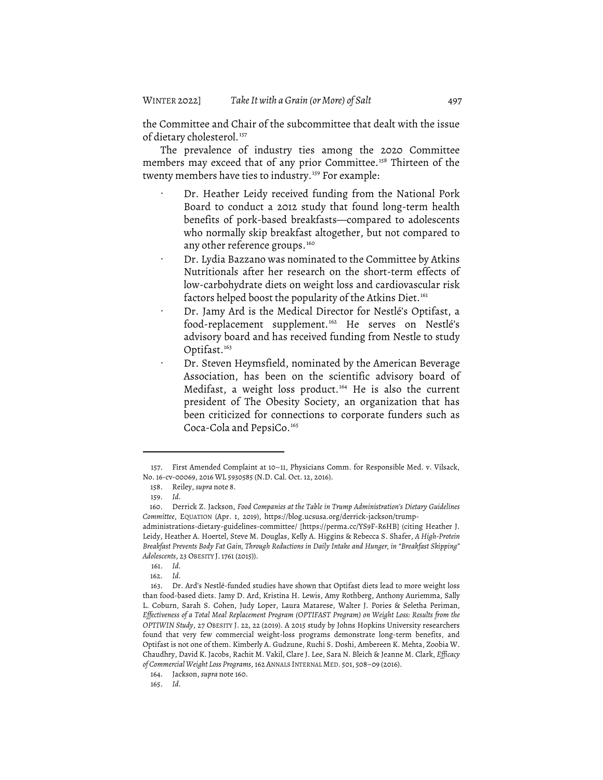the Committee and Chair of the subcommittee that dealt with the issue of dietary cholesterol. 157

The prevalence of industry ties among the 2020 Committee members may exceed that of any prior Committee. <sup>158</sup> Thirteen of the twenty members have ties to industry. <sup>159</sup> For example:

- Dr. Heather Leidy received funding from the National Pork Board to conduct a 2012 study that found long-term health benefits of pork-based breakfasts—compared to adolescents who normally skip breakfast altogether, but not compared to any other reference groups.<sup>160</sup>
- · Dr. Lydia Bazzano was nominated to the Committee by Atkins Nutritionals after her research on the short-term effects of low-carbohydrate diets on weight loss and cardiovascular risk factors helped boost the popularity of the Atkins Diet.<sup>161</sup>
- · Dr. Jamy Ard is the Medical Director for Nestlé's Optifast, a food-replacement supplement. <sup>162</sup> He serves on Nestlé's advisory board and has received funding from Nestle to study Optifast. 163
- Dr. Steven Heymsfield, nominated by the American Beverage Association, has been on the scientific advisory board of Medifast, a weight loss product. <sup>164</sup> He is also the current president of The Obesity Society, an organization that has been criticized for connections to corporate funders such as Coca-Cola and PepsiCo. 165

<sup>157.</sup> First Amended Complaint at 10–11, Physicians Comm. for Responsible Med. v. Vilsack, No. 16-cv-00069, 2016 WL 5930585 (N.D. Cal. Oct. 12, 2016).

<sup>158.</sup> Reiley, *supra* note 8.

<sup>159.</sup> *Id.*

<sup>160.</sup> Derrick Z. Jackson, *Food Companies at the Table in Trump Administration's Dietary Guidelines Committee*, EQUATION (Apr. 1, 2019), https://blog.ucsusa.org/derrick-jackson/trump-

administrations-dietary-guidelines-committee/ [https://perma.cc/YS9F-R6HB] (citing Heather J. Leidy, Heather A. Hoertel, Steve M. Douglas, Kelly A. Higgins & Rebecca S. Shafer, *A High-Protein Breakfast Prevents Body Fat Gain, Through Reductions in Daily Intake and Hunger, in "Breakfast Skipping" Adolescents*, 23 OBESITY J.1761 (2015)).

<sup>161.</sup> *Id.*

<sup>162.</sup> *Id.*

<sup>163.</sup> Dr. Ard's Nestlé-funded studies have shown that Optifast diets lead to more weight loss than food-based diets. Jamy D. Ard, Kristina H. Lewis, Amy Rothberg, Anthony Auriemma, Sally L. Coburn, Sarah S. Cohen, Judy Loper, Laura Matarese, Walter J. Pories & Seletha Periman, *Effectiveness of a Total Meal Replacement Program (OPTIFAST Program) on Weight Loss: Results from the OPTIWIN Study*, 27 OBESITY J. 22, 22 (2019). A 2015 study by Johns Hopkins University researchers found that very few commercial weight-loss programs demonstrate long-term benefits, and Optifast is not one of them. Kimberly A. Gudzune, Ruchi S. Doshi, Ambereen K. Mehta, Zoobia W. Chaudhry, David K. Jacobs, Rachit M. Vakil, Clare J. Lee, Sara N. Bleich & Jeanne M. Clark, *Efficacy of Commercial Weight Loss Programs*, 162 ANNALS INTERNAL MED. 501, 508–09 (2016).

<sup>164.</sup> Jackson, *supra* note 160.

<sup>165.</sup> *Id.*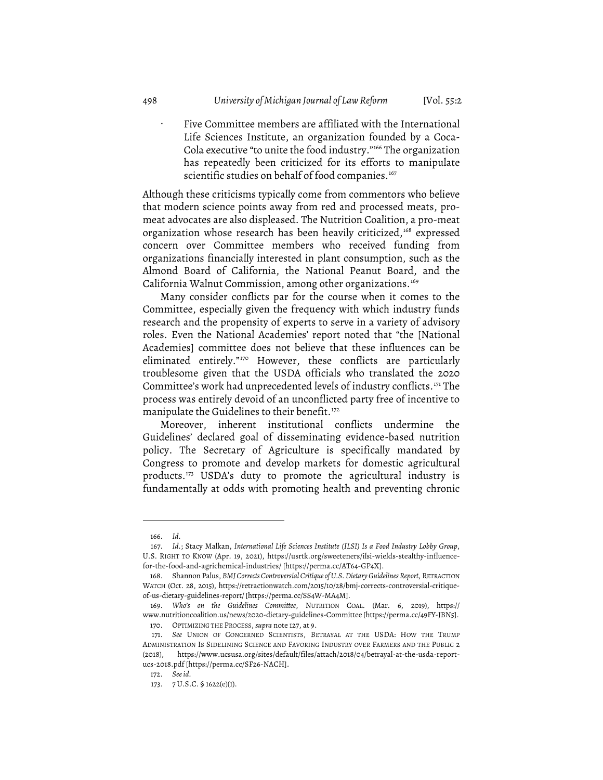Five Committee members are affiliated with the International Life Sciences Institute, an organization founded by a Coca-Cola executive "to unite the food industry."166 The organization has repeatedly been criticized for its efforts to manipulate scientific studies on behalf of food companies.<sup>167</sup>

Although these criticisms typically come from commentors who believe that modern science points away from red and processed meats, promeat advocates are also displeased. The Nutrition Coalition, a pro-meat organization whose research has been heavily criticized,<sup>168</sup> expressed concern over Committee members who received funding from organizations financially interested in plant consumption, such as the Almond Board of California, the National Peanut Board, and the California Walnut Commission, among other organizations. 169

Many consider conflicts par for the course when it comes to the Committee, especially given the frequency with which industry funds research and the propensity of experts to serve in a variety of advisory roles. Even the National Academies' report noted that "the [National Academies] committee does not believe that these influences can be eliminated entirely."170 However, these conflicts are particularly troublesome given that the USDA officials who translated the 2020 Committee's work had unprecedented levels of industry conflicts. <sup>171</sup> The process was entirely devoid of an unconflicted party free of incentive to manipulate the Guidelines to their benefit. 172

Moreover, inherent institutional conflicts undermine the Guidelines' declared goal of disseminating evidence-based nutrition policy. The Secretary of Agriculture is specifically mandated by Congress to promote and develop markets for domestic agricultural products. <sup>173</sup> USDA's duty to promote the agricultural industry is fundamentally at odds with promoting health and preventing chronic

<sup>166.</sup> *Id.*

<sup>167.</sup> *Id.*; Stacy Malkan, *International Life Sciences Institute (ILSI) Is a Food Industry Lobby Group*, U.S. RIGHT TO KNOW (Apr. 19, 2021), https://usrtk.org/sweeteners/ilsi-wields-stealthy-influencefor-the-food-and-agrichemical-industries/ [https://perma.cc/AT64-GP4X].

<sup>168.</sup> Shannon Palus, *BMJCorrectsControversialCritique of U.S.Dietary Guidelines Report*, RETRACTION WATCH (Oct. 28, 2015), https://retractionwatch.com/2015/10/28/bmj-corrects-controversial-critiqueof-us-dietary-guidelines-report/ [https://perma.cc/SS4W-MA4M].

<sup>169.</sup> *Who's on the Guidelines Committee*, NUTRITION COAL. (Mar. 6, 2019), https:// www.nutritioncoalition.us/news/2020-dietary-guidelines-Committee [https://perma.cc/49FY-JBN5]. 170. OPTIMIZING THE PROCESS, *supra* note 127, at 9.

<sup>171.</sup> *See* UNION OF CONCERNED SCIENTISTS, BETRAYAL AT THE USDA: HOW THE TRUMP ADMINISTRATION IS SIDELINING SCIENCE AND FAVORING INDUSTRY OVER FARMERS AND THE PUBLIC 2 (2018), https://www.ucsusa.org/sites/default/files/attach/2018/04/betrayal-at-the-usda-reportucs-2018.pdf [https://perma.cc/SF26-NACH].

<sup>172.</sup> *Seeid.*

<sup>173.</sup> 7 U.S.C. § 1622(e)(1).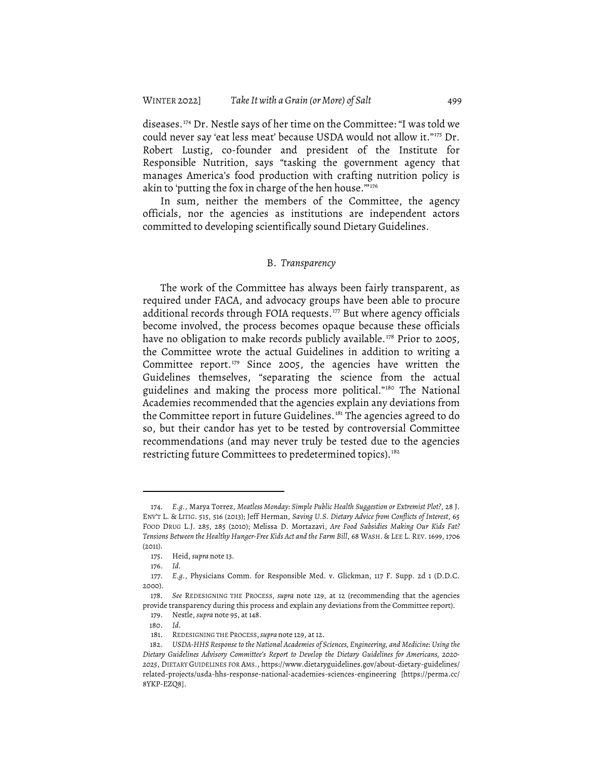diseases. <sup>174</sup> Dr. Nestle says of her time on the Committee: "I was told we could never say 'eat less meat' because USDA would not allow it."175 Dr. Robert Lustig, co-founder and president of the Institute for Responsible Nutrition, says "tasking the government agency that manages America's food production with crafting nutrition policy is akin to 'putting the fox in charge of the hen house.""<sup>176</sup>

In sum, neither the members of the Committee, the agency officials, nor the agencies as institutions are independent actors committed to developing scientifically sound Dietary Guidelines.

#### B. *Transparency*

The work of the Committee has always been fairly transparent, as required under FACA, and advocacy groups have been able to procure additional records through FOIA requests. <sup>177</sup> But where agency officials become involved, the process becomes opaque because these officials have no obligation to make records publicly available. <sup>178</sup> Prior to 2005, the Committee wrote the actual Guidelines in addition to writing a Committee report. <sup>179</sup> Since 2005, the agencies have written the Guidelines themselves, "separating the science from the actual guidelines and making the process more political."180 The National Academies recommended that the agencies explain any deviations from the Committee report in future Guidelines.<sup>181</sup> The agencies agreed to do so, but their candor has yet to be tested by controversial Committee recommendations (and may never truly be tested due to the agencies restricting future Committees to predetermined topics). 182

<sup>174.</sup> *E.g.*, Marya Torrez, *Meatless Monday: Simple Public Health Suggestion or Extremist Plot?*, 28 J. ENV'T L. & LITIG. 515, 516 (2013); Jeff Herman, *Saving U.S. Dietary Advice from Conflicts of Interest*, 65 FOOD DRUG L.J. 285, 285 (2010); Melissa D. Mortazavi, *Are Food Subsidies Making Our Kids Fat? Tensions Between the Healthy Hunger-Free Kids Act and the Farm Bill*, 68 WASH. & LEE L. REV. 1699, 1706 (2011).

<sup>175.</sup> Heid, *supra* note 13.

<sup>176.</sup> *Id.*

<sup>177.</sup> *E.g.*, Physicians Comm. for Responsible Med. v. Glickman, 117 F. Supp. 2d 1 (D.D.C. 2000).

<sup>178.</sup> *See* REDESIGNING THE PROCESS, *supra* note 129, at 12 (recommending that the agencies provide transparency during this process and explain any deviations from the Committee report). 179. Nestle, *supra* note 95, at 148.

<sup>180.</sup> *Id.*

<sup>181.</sup> REDESIGNING THE PROCESS,*supra* note 129, at 12.

<sup>182.</sup> *USDA-HHS Response to the National Academies of Sciences, Engineering, and Medicine: Using the Dietary Guidelines Advisory Committee's Report to Develop the Dietary Guidelines for Americans, 2020- 2025*, DIETARY GUIDELINES FOR AMS., https://www.dietaryguidelines.gov/about-dietary-guidelines/ related-projects/usda-hhs-response-national-academies-sciences-engineering [https://perma.cc/ 8YKP-EZQ8].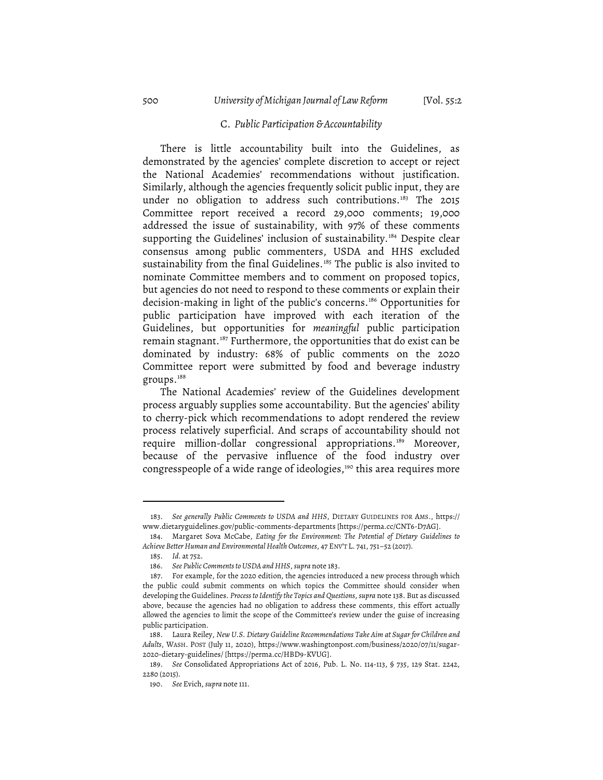#### C. *Public Participation & Accountability*

There is little accountability built into the Guidelines, as demonstrated by the agencies' complete discretion to accept or reject the National Academies' recommendations without justification. Similarly, although the agencies frequently solicit public input, they are under no obligation to address such contributions. <sup>183</sup> The 2015 Committee report received a record 29,000 comments; 19,000 addressed the issue of sustainability, with 97% of these comments supporting the Guidelines' inclusion of sustainability. <sup>184</sup> Despite clear consensus among public commenters, USDA and HHS excluded sustainability from the final Guidelines. <sup>185</sup> The public is also invited to nominate Committee members and to comment on proposed topics, but agencies do not need to respond to these comments or explain their decision-making in light of the public's concerns. <sup>186</sup> Opportunities for public participation have improved with each iteration of the Guidelines, but opportunities for *meaningful* public participation remain stagnant.<sup>187</sup> Furthermore, the opportunities that do exist can be dominated by industry: 68% of public comments on the 2020 Committee report were submitted by food and beverage industry groups. 188

The National Academies' review of the Guidelines development process arguably supplies some accountability. But the agencies' ability to cherry-pick which recommendations to adopt rendered the review process relatively superficial. And scraps of accountability should not require million-dollar congressional appropriations. <sup>189</sup> Moreover, because of the pervasive influence of the food industry over congresspeople of a wide range of ideologies,<sup>190</sup> this area requires more

<sup>183.</sup> *See generally Public Comments to USDA and HHS*, DIETARY GUIDELINES FOR AMS., https:// www.dietaryguidelines.gov/public-comments-departments [https://perma.cc/CNT6-D7AG].

<sup>184.</sup> Margaret Sova McCabe, *Eating for the Environment: The Potential of Dietary Guidelines to Achieve Better Human and Environmental Health Outcomes*, 47 ENV'T L. 741, 751–52 (2017).

<sup>185.</sup> *Id.* at 752.

<sup>186.</sup> *See Public Commentsto USDA and HHS*, *supra* note 183.

<sup>187.</sup> For example, for the 2020 edition, the agencies introduced a new process through which the public could submit comments on which topics the Committee should consider when developing the Guidelines. *Processto Identify the Topics and Questions*, *supra* note 138. But as discussed above, because the agencies had no obligation to address these comments, this effort actually allowed the agencies to limit the scope of the Committee's review under the guise of increasing public participation.

<sup>188.</sup> Laura Reiley, *New U.S. Dietary Guideline Recommendations Take Aim at Sugar for Children and Adults*, WASH. POST (July 11, 2020), https://www.washingtonpost.com/business/2020/07/11/sugar-2020-dietary-guidelines/ [https://perma.cc/HBD9-KVUG].

<sup>189.</sup> *See* Consolidated Appropriations Act of 2016, Pub. L. No. 114-113, § 735, 129 Stat. 2242, 2280 (2015).

<sup>190.</sup> *See* Evich, *supra* note 111.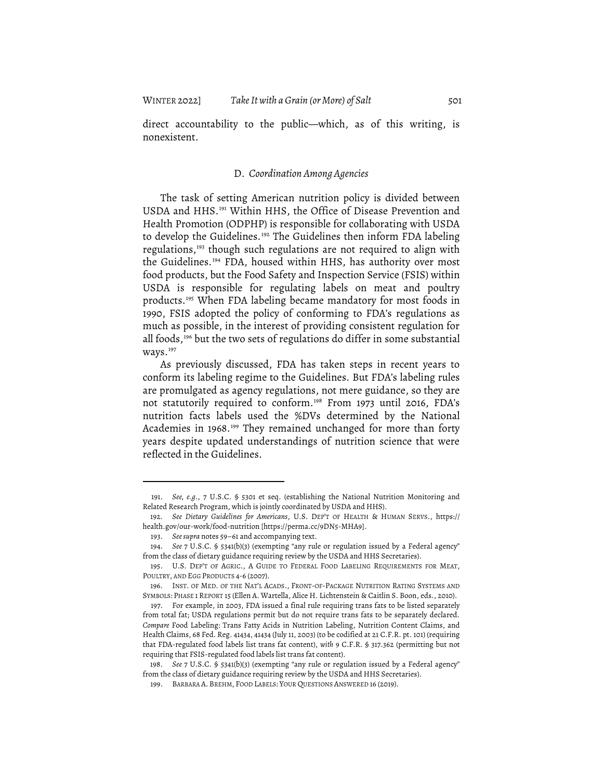direct accountability to the public—which, as of this writing, is nonexistent.

#### D. *Coordination Among Agencies*

The task of setting American nutrition policy is divided between USDA and HHS.<sup>191</sup> Within HHS, the Office of Disease Prevention and Health Promotion (ODPHP) is responsible for collaborating with USDA to develop the Guidelines.<sup>192</sup> The Guidelines then inform FDA labeling regulations,<sup>193</sup> though such regulations are not required to align with the Guidelines. <sup>194</sup> FDA, housed within HHS, has authority over most food products, but the Food Safety and Inspection Service (FSIS) within USDA is responsible for regulating labels on meat and poultry products. <sup>195</sup> When FDA labeling became mandatory for most foods in 1990, FSIS adopted the policy of conforming to FDA's regulations as much as possible, in the interest of providing consistent regulation for all foods,<sup>196</sup> but the two sets of regulations do differ in some substantial ways. 197

As previously discussed, FDA has taken steps in recent years to conform its labeling regime to the Guidelines. But FDA's labeling rules are promulgated as agency regulations, not mere guidance, so they are not statutorily required to conform. <sup>198</sup> From 1973 until 2016, FDA's nutrition facts labels used the %DVs determined by the National Academies in 1968.<sup>199</sup> They remained unchanged for more than forty years despite updated understandings of nutrition science that were reflected in the Guidelines.

<sup>191.</sup> *See, e.g.*, 7 U.S.C. § 5301 et seq. (establishing the National Nutrition Monitoring and Related Research Program, which is jointly coordinated by USDA and HHS).

<sup>192.</sup> *See Dietary Guidelines for Americans*, U.S. DEP'T OF HEALTH & HUMAN SERVS., https:// health.gov/our-work/food-nutrition [https://perma.cc/9DN5-MHA9].

<sup>193.</sup> *Seesupra* notes 59–61 and accompanying text.

<sup>194.</sup> *See* 7 U.S.C. § 5341(b)(3) (exempting "any rule or regulation issued by a Federal agency" from the class of dietary guidance requiring review by the USDA and HHS Secretaries).

<sup>195.</sup> U.S. DEP'T OF AGRIC., A GUIDE TO FEDERAL FOOD LABELING REQUIREMENTS FOR MEAT, POULTRY, AND EGG PRODUCTS 4-6 (2007).

<sup>196.</sup> INST. OF MED. OF THE NAT'L ACADS., FRONT-OF-PACKAGE NUTRITION RATING SYSTEMS AND SYMBOLS: PHASE 1 REPORT 15 (Ellen A. Wartella, Alice H. Lichtenstein & Caitlin S. Boon, eds., 2010).

<sup>197.</sup> For example, in 2003, FDA issued a final rule requiring trans fats to be listed separately from total fat; USDA regulations permit but do not require trans fats to be separately declared. *Compare* Food Labeling: Trans Fatty Acids in Nutrition Labeling, Nutrition Content Claims, and Health Claims, 68 Fed. Reg. 41434, 41434 (July 11, 2003) (to be codified at 21 C.F.R. pt. 101) (requiring that FDA-regulated food labels list trans fat content), *with* 9 C.F.R. § 317.362 (permitting but not requiring that FSIS-regulated food labels list trans fat content).

<sup>198.</sup> *See* 7 U.S.C. § 5341(b)(3) (exempting "any rule or regulation issued by a Federal agency" from the class of dietary guidance requiring review by the USDA and HHS Secretaries).

<sup>199.</sup> BARBARA A. BREHM, FOOD LABELS: YOUR QUESTIONS ANSWERED 16 (2019).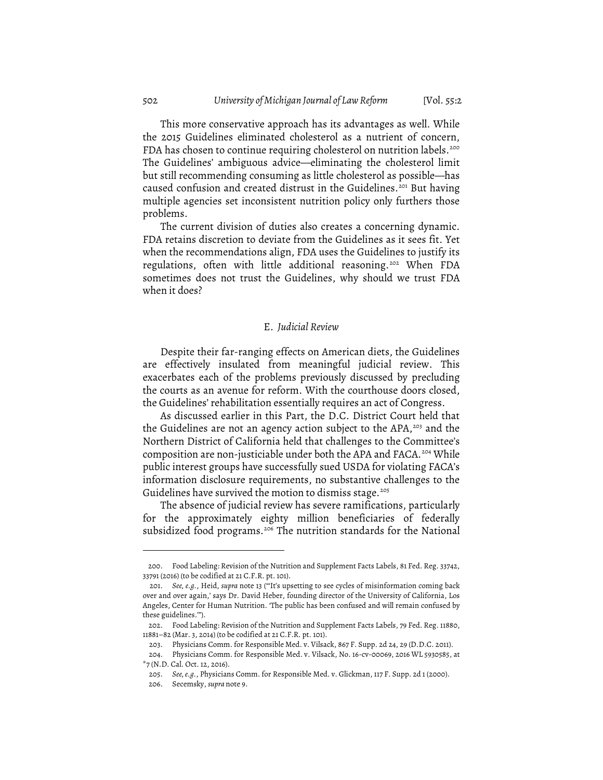This more conservative approach has its advantages as well. While the 2015 Guidelines eliminated cholesterol as a nutrient of concern, FDA has chosen to continue requiring cholesterol on nutrition labels. 200 The Guidelines' ambiguous advice—eliminating the cholesterol limit but still recommending consuming as little cholesterol as possible—has caused confusion and created distrust in the Guidelines. <sup>201</sup> But having multiple agencies set inconsistent nutrition policy only furthers those problems.

The current division of duties also creates a concerning dynamic. FDA retains discretion to deviate from the Guidelines as it sees fit. Yet when the recommendations align, FDA uses the Guidelines to justify its regulations, often with little additional reasoning. <sup>202</sup> When FDA sometimes does not trust the Guidelines, why should we trust FDA when it does?

#### E. *Judicial Review*

Despite their far-ranging effects on American diets, the Guidelines are effectively insulated from meaningful judicial review. This exacerbates each of the problems previously discussed by precluding the courts as an avenue for reform. With the courthouse doors closed, the Guidelines' rehabilitation essentially requires an act of Congress.

As discussed earlier in this Part, the D.C. District Court held that the Guidelines are not an agency action subject to the APA, <sup>203</sup> and the Northern District of California held that challenges to the Committee's composition are non-justiciable under both the APA and FACA.<sup>204</sup> While public interest groups have successfully sued USDA for violating FACA's information disclosure requirements, no substantive challenges to the Guidelines have survived the motion to dismiss stage. 205

The absence of judicial review has severe ramifications, particularly for the approximately eighty million beneficiaries of federally subsidized food programs.<sup>206</sup> The nutrition standards for the National

<sup>200.</sup> Food Labeling: Revision of the Nutrition and Supplement Facts Labels, 81 Fed. Reg. 33742, 33791 (2016) (to be codified at 21 C.F.R. pt. 101).

<sup>201.</sup> *See, e.g.*, Heid, *supra* note 13 ("'It's upsetting to see cycles of misinformation coming back over and over again,' says Dr. David Heber, founding director of the University of California, Los Angeles, Center for Human Nutrition. 'The public has been confused and will remain confused by these guidelines.'").

<sup>202.</sup> Food Labeling: Revision of the Nutrition and Supplement Facts Labels, 79 Fed. Reg. 11880, 11881–82 (Mar. 3, 2014) (to be codified at 21 C.F.R. pt. 101).

<sup>203.</sup> Physicians Comm. for Responsible Med. v. Vilsack, 867 F. Supp. 2d 24, 29 (D.D.C. 2011).

<sup>204.</sup> Physicians Comm. for Responsible Med. v. Vilsack, No. 16-cv-00069, 2016 WL 5930585, at \*7 (N.D. Cal. Oct. 12, 2016).

<sup>205.</sup> *See, e.g.*, Physicians Comm. for Responsible Med. v. Glickman, 117 F. Supp. 2d 1 (2000). 206. Secemsky, *supra* note 9.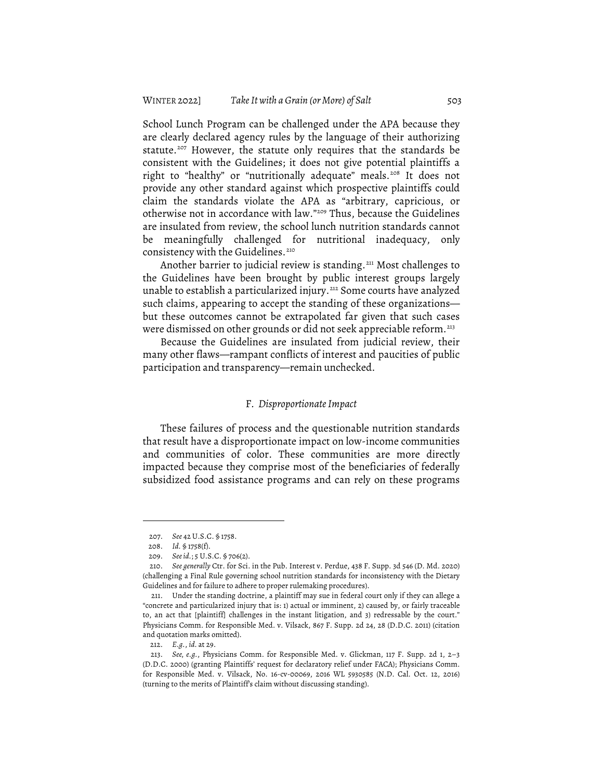School Lunch Program can be challenged under the APA because they are clearly declared agency rules by the language of their authorizing statute. <sup>207</sup> However, the statute only requires that the standards be consistent with the Guidelines; it does not give potential plaintiffs a right to "healthy" or "nutritionally adequate" meals. <sup>208</sup> It does not provide any other standard against which prospective plaintiffs could claim the standards violate the APA as "arbitrary, capricious, or otherwise not in accordance with law."209 Thus, because the Guidelines are insulated from review, the school lunch nutrition standards cannot be meaningfully challenged for nutritional inadequacy, only consistency with the Guidelines. 210

Another barrier to judicial review is standing. <sup>211</sup> Most challenges to the Guidelines have been brought by public interest groups largely unable to establish a particularized injury. <sup>212</sup> Some courts have analyzed such claims, appearing to accept the standing of these organizations but these outcomes cannot be extrapolated far given that such cases were dismissed on other grounds or did not seek appreciable reform. 213

Because the Guidelines are insulated from judicial review, their many other flaws—rampant conflicts of interest and paucities of public participation and transparency—remain unchecked.

#### F*. Disproportionate Impact*

These failures of process and the questionable nutrition standards that result have a disproportionate impact on low-income communities and communities of color. These communities are more directly impacted because they comprise most of the beneficiaries of federally subsidized food assistance programs and can rely on these programs

<sup>207.</sup> *See* 42 U.S.C. § 1758.

<sup>208.</sup> *Id.* § 1758(f).

<sup>209.</sup> *Seeid.*; 5 U.S.C. § 706(2).

<sup>210.</sup> *See generally* Ctr. for Sci. in the Pub. Interest v. Perdue, 438 F. Supp. 3d 546 (D. Md. 2020) (challenging a Final Rule governing school nutrition standards for inconsistency with the Dietary Guidelines and for failure to adhere to proper rulemaking procedures).

<sup>211.</sup> Under the standing doctrine, a plaintiff may sue in federal court only if they can allege a "concrete and particularized injury that is: 1) actual or imminent, 2) caused by, or fairly traceable to, an act that [plaintiff] challenges in the instant litigation, and 3) redressable by the court." Physicians Comm. for Responsible Med. v. Vilsack, 867 F. Supp. 2d 24, 28 (D.D.C. 2011) (citation and quotation marks omitted).

<sup>212.</sup> *E.g.*, *id.* at 29.

<sup>213.</sup> *See, e.g.*, Physicians Comm. for Responsible Med. v. Glickman, 117 F. Supp. 2d 1, 2–3 (D.D.C. 2000) (granting Plaintiffs' request for declaratory relief under FACA); Physicians Comm. for Responsible Med. v. Vilsack, No. 16-cv-00069, 2016 WL 5930585 (N.D. Cal. Oct. 12, 2016) (turning to the merits of Plaintiff's claim without discussing standing).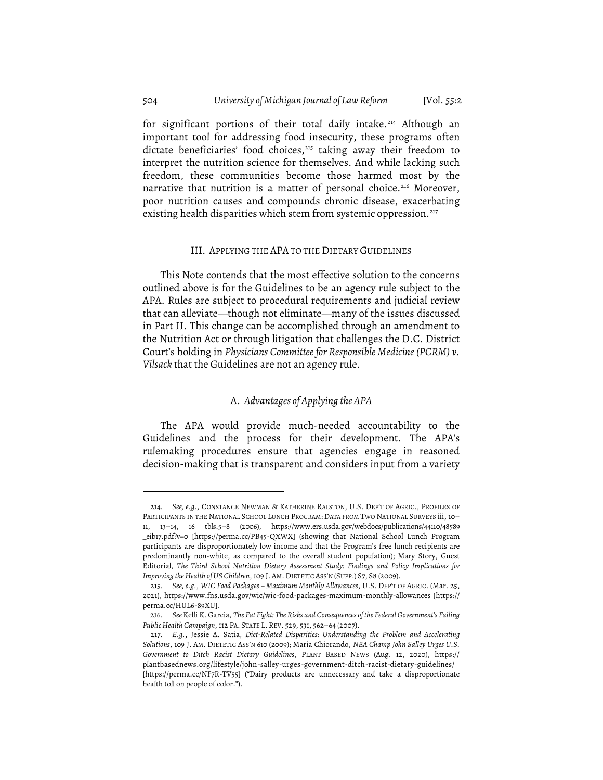for significant portions of their total daily intake. <sup>214</sup> Although an important tool for addressing food insecurity, these programs often dictate beneficiaries' food choices,<sup>215</sup> taking away their freedom to interpret the nutrition science for themselves. And while lacking such freedom, these communities become those harmed most by the narrative that nutrition is a matter of personal choice. <sup>216</sup> Moreover, poor nutrition causes and compounds chronic disease, exacerbating existing health disparities which stem from systemic oppression. 217

#### III. APPLYING THE APA TO THE DIETARY GUIDELINES

This Note contends that the most effective solution to the concerns outlined above is for the Guidelines to be an agency rule subject to the APA. Rules are subject to procedural requirements and judicial review that can alleviate—though not eliminate—many of the issues discussed in Part II. This change can be accomplished through an amendment to the Nutrition Act or through litigation that challenges the D.C. District Court's holding in *Physicians Committee for Responsible Medicine (PCRM) v. Vilsack* that the Guidelines are not an agency rule.

## A. *Advantages of Applying the APA*

The APA would provide much-needed accountability to the Guidelines and the process for their development. The APA's rulemaking procedures ensure that agencies engage in reasoned decision-making that is transparent and considers input from a variety

<sup>214.</sup> *See, e.g.*, CONSTANCE NEWMAN & KATHERINE RALSTON, U.S. DEP'T OF AGRIC., PROFILES OF PARTICIPANTS IN THE NATIONAL SCHOOL LUNCH PROGRAM: DATA FROM TWO NATIONAL SURVEYS iii, 10– 11, 13–14, 16 tbls.5–8 (2006), https://www.ers.usda.gov/webdocs/publications/44110/48589 \_eib17.pdf?v=0 [https://perma.cc/PB45-QXWX] (showing that National School Lunch Program participants are disproportionately low income and that the Program's free lunch recipients are predominantly non-white, as compared to the overall student population); Mary Story, Guest Editorial, *The Third School Nutrition Dietary Assessment Study: Findings and Policy Implications for Improving the Health of US Children*, 109 J. AM. DIETETIC ASS'N (SUPP.) S7, S8 (2009).

<sup>215.</sup> *See, e.g.*, *WIC Food Packages – Maximum Monthly Allowances*, U.S. DEP'T OF AGRIC. (Mar. 25, 2021), https://www.fns.usda.gov/wic/wic-food-packages-maximum-monthly-allowances [https:// perma.cc/HUL6-89XU].

<sup>216.</sup> *See* Kelli K. Garcia, *The Fat Fight: The Risks and Consequences of the Federal Government's Failing Public Health Campaign*, 112 PA. STATE L. REV. 529, 531, 562–64 (2007).

<sup>217.</sup> *E.g.*, Jessie A. Satia, *Diet-Related Disparities: Understanding the Problem and Accelerating Solutions*, 109 J. AM. DIETETIC ASS'N 610 (2009); Maria Chiorando, *NBA Champ John Salley Urges U.S. Government to Ditch Racist Dietary Guidelines*, PLANT BASED NEWS (Aug. 12, 2020), https:// plantbasednews.org/lifestyle/john-salley-urges-government-ditch-racist-dietary-guidelines/ [https://perma.cc/NF7R-TV55] ("Dairy products are unnecessary and take a disproportionate health toll on people of color.").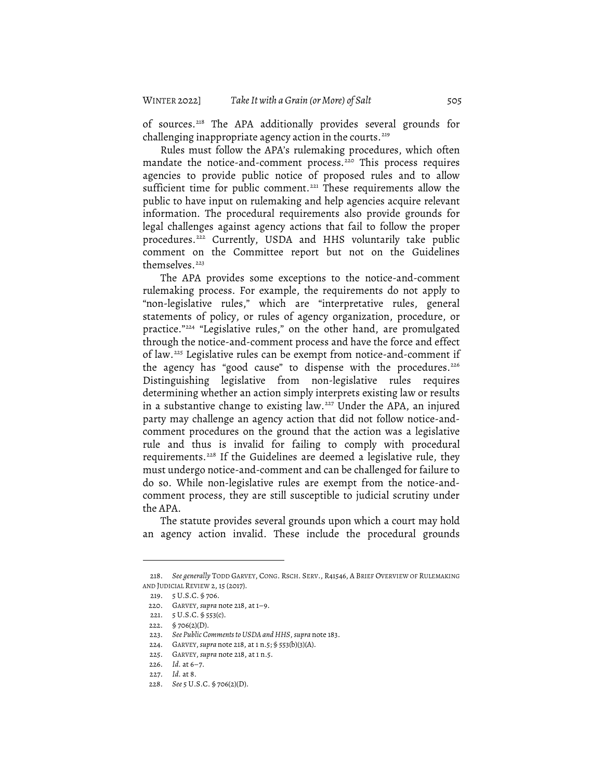of sources. <sup>218</sup> The APA additionally provides several grounds for challenging inappropriate agency action in the courts. 219

Rules must follow the APA's rulemaking procedures, which often mandate the notice-and-comment process. <sup>220</sup> This process requires agencies to provide public notice of proposed rules and to allow sufficient time for public comment.<sup>221</sup> These requirements allow the public to have input on rulemaking and help agencies acquire relevant information. The procedural requirements also provide grounds for legal challenges against agency actions that fail to follow the proper procedures. <sup>222</sup> Currently, USDA and HHS voluntarily take public comment on the Committee report but not on the Guidelines themselves. 223

The APA provides some exceptions to the notice-and-comment rulemaking process. For example, the requirements do not apply to "non-legislative rules," which are "interpretative rules, general statements of policy, or rules of agency organization, procedure, or practice."224 "Legislative rules," on the other hand, are promulgated through the notice-and-comment process and have the force and effect of law.<sup>225</sup> Legislative rules can be exempt from notice-and-comment if the agency has "good cause" to dispense with the procedures. 226 Distinguishing legislative from non-legislative rules requires determining whether an action simply interprets existing law or results in a substantive change to existing law. <sup>227</sup> Under the APA, an injured party may challenge an agency action that did not follow notice-andcomment procedures on the ground that the action was a legislative rule and thus is invalid for failing to comply with procedural requirements. <sup>228</sup> If the Guidelines are deemed a legislative rule, they must undergo notice-and-comment and can be challenged for failure to do so. While non-legislative rules are exempt from the notice-andcomment process, they are still susceptible to judicial scrutiny under the APA.

The statute provides several grounds upon which a court may hold an agency action invalid. These include the procedural grounds

<sup>218.</sup> *See generally* TODD GARVEY, CONG. RSCH. SERV., R41546, A BRIEF OVERVIEW OF RULEMAKING AND JUDICIAL REVIEW 2, 15 (2017).

<sup>219.</sup> 5 U.S.C. § 706.

<sup>220.</sup> GARVEY, *supra* note 218, at 1–9.

<sup>221.</sup> 5 U.S.C. § 553(c).

<sup>222. § 706(2)(</sup>D).

<sup>223.</sup> *See Public Commentsto USDA and HHS*, *supra* note 183.

<sup>224.</sup> GARVEY,*supra* note 218, at 1 n.5; § 553(b)(3)(A).

<sup>225.</sup> GARVEY, *supra* note 218, at 1 n.5.

<sup>226.</sup> *Id.* at 6–7.

<sup>227.</sup> *Id.* at 8.

<sup>228.</sup> *See* 5 U.S.C. § 706(2)(D).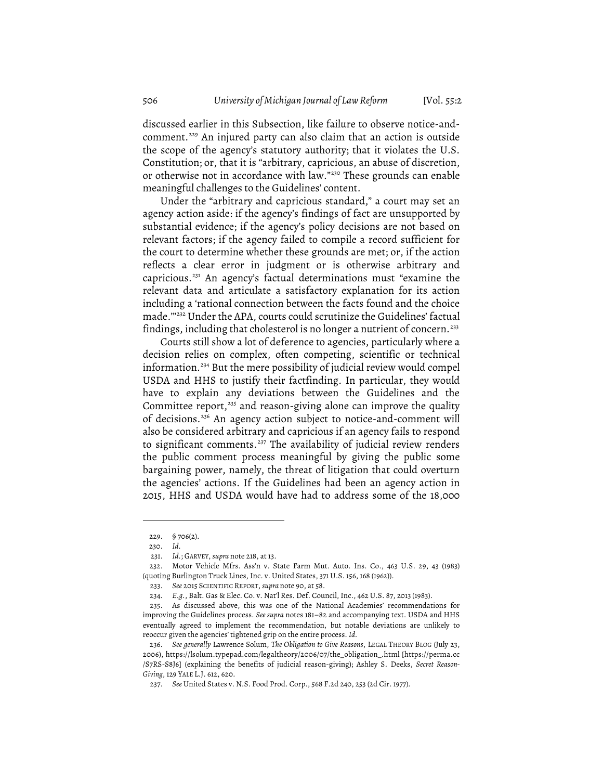discussed earlier in this Subsection, like failure to observe notice-andcomment. <sup>229</sup> An injured party can also claim that an action is outside the scope of the agency's statutory authority; that it violates the U.S. Constitution; or, that it is "arbitrary, capricious, an abuse of discretion, or otherwise not in accordance with law."230 These grounds can enable meaningful challenges to the Guidelines' content.

Under the "arbitrary and capricious standard," a court may set an agency action aside: if the agency's findings of fact are unsupported by substantial evidence; if the agency's policy decisions are not based on relevant factors; if the agency failed to compile a record sufficient for the court to determine whether these grounds are met; or, if the action reflects a clear error in judgment or is otherwise arbitrary and capricious. <sup>231</sup> An agency's factual determinations must "examine the relevant data and articulate a satisfactory explanation for its action including a 'rational connection between the facts found and the choice made.'"232 Under the APA, courts could scrutinize the Guidelines' factual findings, including that cholesterol is no longer a nutrient of concern. 233

Courts still show a lot of deference to agencies, particularly where a decision relies on complex, often competing, scientific or technical information. <sup>234</sup> But the mere possibility of judicial review would compel USDA and HHS to justify their factfinding. In particular, they would have to explain any deviations between the Guidelines and the Committee report,<sup>235</sup> and reason-giving alone can improve the quality of decisions. <sup>236</sup> An agency action subject to notice-and-comment will also be considered arbitrary and capricious if an agency fails to respond to significant comments. <sup>237</sup> The availability of judicial review renders the public comment process meaningful by giving the public some bargaining power, namely, the threat of litigation that could overturn the agencies' actions. If the Guidelines had been an agency action in 2015, HHS and USDA would have had to address some of the 18,000

<sup>229. § 706(2).</sup>

<sup>230.</sup> *Id.*

<sup>231.</sup> *Id.*; GARVEY, *supra* note 218, at 13.

<sup>232.</sup> Motor Vehicle Mfrs. Ass'n v. State Farm Mut. Auto. Ins. Co., 463 U.S. 29, 43 (1983) (quoting Burlington Truck Lines, Inc. v. United States, 371 U.S. 156, 168 (1962)).

<sup>233.</sup> *See* 2015 SCIENTIFIC REPORT, *supra* note 90, at 58.

<sup>234.</sup> *E.g.*, Balt. Gas & Elec. Co. v. Nat'l Res. Def. Council, Inc., 462 U.S. 87, 2013 (1983).

<sup>235.</sup> As discussed above, this was one of the National Academies' recommendations for improving the Guidelines process. *See supra* notes 181–82 and accompanying text. USDA and HHS eventually agreed to implement the recommendation, but notable deviations are unlikely to reoccur given the agencies' tightened grip on the entire process. *Id.*

<sup>236.</sup> *See generally* Lawrence Solum, *The Obligation to Give Reasons*, LEGAL THEORY BLOG (July 23, 2006), https://lsolum.typepad.com/legaltheory/2006/07/the\_obligation\_.html [https://perma.cc /S7RS-S8J6] (explaining the benefits of judicial reason-giving); Ashley S. Deeks, *Secret Reason-Giving*, 129 YALE L.J. 612, 620.

<sup>237.</sup> *See* United States v. N.S. Food Prod. Corp., 568 F.2d 240, 253 (2d Cir. 1977).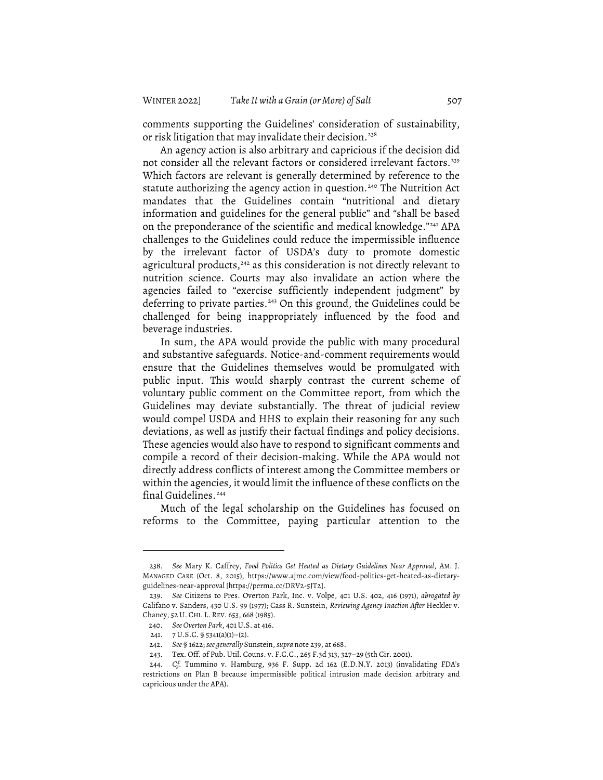comments supporting the Guidelines' consideration of sustainability, or risk litigation that may invalidate their decision. 238

An agency action is also arbitrary and capricious if the decision did not consider all the relevant factors or considered irrelevant factors. 239 Which factors are relevant is generally determined by reference to the statute authorizing the agency action in question. <sup>240</sup> The Nutrition Act mandates that the Guidelines contain "nutritional and dietary information and guidelines for the general public" and "shall be based on the preponderance of the scientific and medical knowledge."<sup>241</sup> APA challenges to the Guidelines could reduce the impermissible influence by the irrelevant factor of USDA's duty to promote domestic agricultural products, $242$  as this consideration is not directly relevant to nutrition science. Courts may also invalidate an action where the agencies failed to "exercise sufficiently independent judgment" by deferring to private parties. <sup>243</sup> On this ground, the Guidelines could be challenged for being inappropriately influenced by the food and beverage industries.

In sum, the APA would provide the public with many procedural and substantive safeguards. Notice-and-comment requirements would ensure that the Guidelines themselves would be promulgated with public input. This would sharply contrast the current scheme of voluntary public comment on the Committee report, from which the Guidelines may deviate substantially. The threat of judicial review would compel USDA and HHS to explain their reasoning for any such deviations, as well as justify their factual findings and policy decisions. These agencies would also have to respond to significant comments and compile a record of their decision-making. While the APA would not directly address conflicts of interest among the Committee members or within the agencies, it would limit the influence of these conflicts on the final Guidelines. 244

Much of the legal scholarship on the Guidelines has focused on reforms to the Committee, paying particular attention to the

<sup>238.</sup> *See* Mary K. Caffrey, *Food Politics Get Heated as Dietary Guidelines Near Approval*, AM. J. MANAGED CARE (Oct. 8, 2015), https://www.ajmc.com/view/food-politics-get-heated-as-dietaryguidelines-near-approval [https://perma.cc/DRV2-5JT2].

<sup>239.</sup> *See* Citizens to Pres. Overton Park, Inc. v. Volpe, 401 U.S. 402, 416 (1971), *abrogated by* Califano v. Sanders, 430 U.S. 99 (1977); Cass R. Sunstein, *Reviewing Agency Inaction After* Heckler v. Chaney, 52 U. CHI. L. REV. 653, 668 (1985).

<sup>240.</sup> *See Overton Park*, 401 U.S. at 416.

<sup>241.</sup>  $7 \text{ U.S.C. } $5341(a)(1)-(2)$ .

<sup>242.</sup> *See* § 1622; *see generally* Sunstein, *supra* note 239, at 668.

<sup>243.</sup> Tex. Off. of Pub. Util. Couns. v. F.C.C., 265 F.3d 313, 327–29 (5th Cir. 2001).

<sup>244.</sup> *Cf.* Tummino v. Hamburg, 936 F. Supp. 2d 162 (E.D.N.Y. 2013) (invalidating FDA's restrictions on Plan B because impermissible political intrusion made decision arbitrary and capricious under the APA).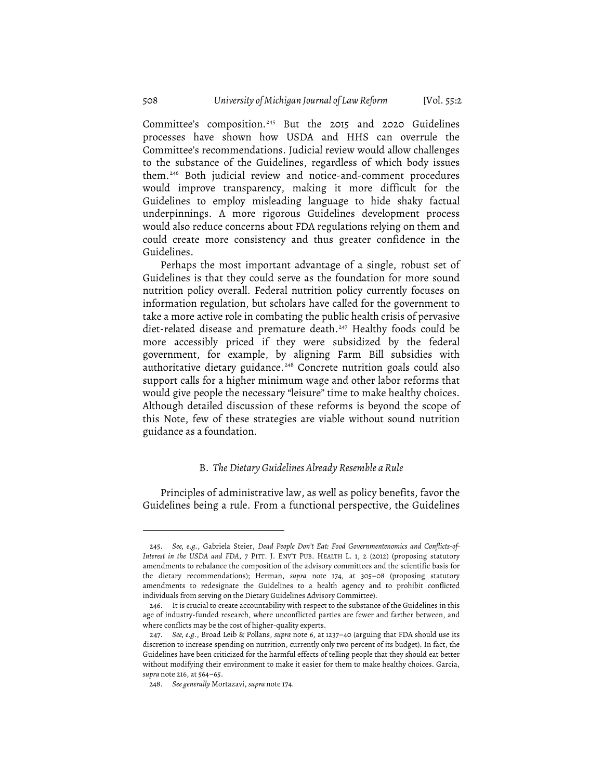Committee's composition.<sup>245</sup> But the 2015 and 2020 Guidelines processes have shown how USDA and HHS can overrule the Committee's recommendations. Judicial review would allow challenges to the substance of the Guidelines, regardless of which body issues them. <sup>246</sup> Both judicial review and notice-and-comment procedures would improve transparency, making it more difficult for the Guidelines to employ misleading language to hide shaky factual underpinnings. A more rigorous Guidelines development process would also reduce concerns about FDA regulations relying on them and could create more consistency and thus greater confidence in the Guidelines.

Perhaps the most important advantage of a single, robust set of Guidelines is that they could serve as the foundation for more sound nutrition policy overall. Federal nutrition policy currently focuses on information regulation, but scholars have called for the government to take a more active role in combating the public health crisis of pervasive diet-related disease and premature death. <sup>247</sup> Healthy foods could be more accessibly priced if they were subsidized by the federal government, for example, by aligning Farm Bill subsidies with authoritative dietary guidance. <sup>248</sup> Concrete nutrition goals could also support calls for a higher minimum wage and other labor reforms that would give people the necessary "leisure" time to make healthy choices. Although detailed discussion of these reforms is beyond the scope of this Note, few of these strategies are viable without sound nutrition guidance as a foundation.

#### B. *The Dietary Guidelines Already Resemble a Rule*

Principles of administrative law, as well as policy benefits, favor the Guidelines being a rule. From a functional perspective, the Guidelines

<sup>245.</sup> *See, e.g.*, Gabriela Steier, *Dead People Don't Eat: Food Governmentenomics and Conflicts-of-Interest in the USDA and FDA*, 7 PITT. J. ENV'T PUB. HEALTH L. 1, 2 (2012) (proposing statutory amendments to rebalance the composition of the advisory committees and the scientific basis for the dietary recommendations); Herman, *supra* note 174, at 305–08 (proposing statutory amendments to redesignate the Guidelines to a health agency and to prohibit conflicted individuals from serving on the Dietary Guidelines Advisory Committee).

<sup>246.</sup> It is crucial to create accountability with respect to the substance of the Guidelines in this age of industry-funded research, where unconflicted parties are fewer and farther between, and where conflicts may be the cost of higher-quality experts.

<sup>247.</sup> *See, e.g.*, Broad Leib & Pollans, *supra* note 6, at 1237–40 (arguing that FDA should use its discretion to increase spending on nutrition, currently only two percent of its budget). In fact, the Guidelines have been criticized for the harmful effects of telling people that they should eat better without modifying their environment to make it easier for them to make healthy choices. Garcia, *supra* note 216, at 564–65.

<sup>248.</sup> *See generally* Mortazavi, *supra* note 174.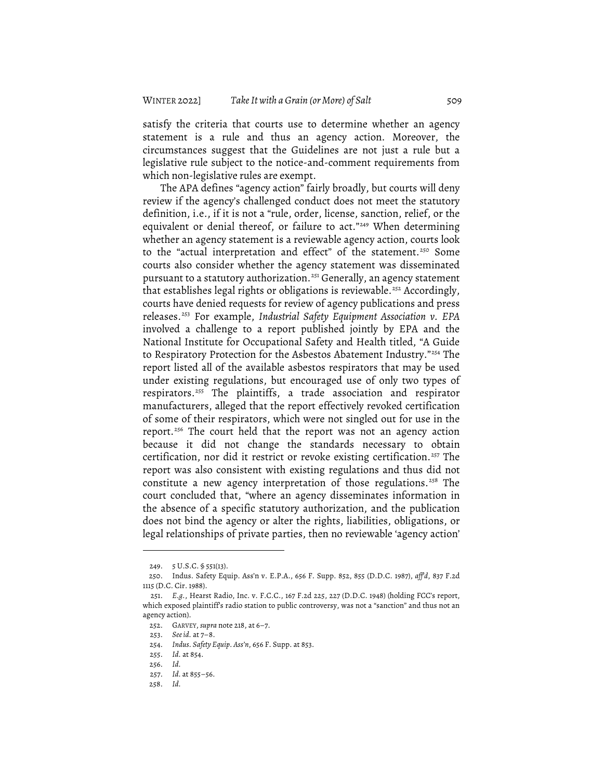satisfy the criteria that courts use to determine whether an agency statement is a rule and thus an agency action. Moreover, the circumstances suggest that the Guidelines are not just a rule but a legislative rule subject to the notice-and-comment requirements from which non-legislative rules are exempt.

The APA defines "agency action" fairly broadly, but courts will deny review if the agency's challenged conduct does not meet the statutory definition, i.e., if it is not a "rule, order, license, sanction, relief, or the equivalent or denial thereof, or failure to act."<sup>249</sup> When determining whether an agency statement is a reviewable agency action, courts look to the "actual interpretation and effect" of the statement. <sup>250</sup> Some courts also consider whether the agency statement was disseminated pursuant to a statutory authorization. <sup>251</sup> Generally, an agency statement that establishes legal rights or obligations is reviewable. <sup>252</sup> Accordingly, courts have denied requests for review of agency publications and press releases. <sup>253</sup> For example, *Industrial Safety Equipment Association v. EPA* involved a challenge to a report published jointly by EPA and the National Institute for Occupational Safety and Health titled, "A Guide to Respiratory Protection for the Asbestos Abatement Industry."254 The report listed all of the available asbestos respirators that may be used under existing regulations, but encouraged use of only two types of respirators. <sup>255</sup> The plaintiffs, a trade association and respirator manufacturers, alleged that the report effectively revoked certification of some of their respirators, which were not singled out for use in the report. <sup>256</sup> The court held that the report was not an agency action because it did not change the standards necessary to obtain certification, nor did it restrict or revoke existing certification. <sup>257</sup> The report was also consistent with existing regulations and thus did not constitute a new agency interpretation of those regulations. <sup>258</sup> The court concluded that, "where an agency disseminates information in the absence of a specific statutory authorization, and the publication does not bind the agency or alter the rights, liabilities, obligations, or legal relationships of private parties, then no reviewable 'agency action'

<sup>249.</sup> 5 U.S.C. § 551(13).

<sup>250.</sup> Indus. Safety Equip. Ass'n v. E.P.A., 656 F. Supp. 852, 855 (D.D.C. 1987), *aff'd*, 837 F.2d 1115 (D.C. Cir. 1988).

<sup>251.</sup> *E.g.*, Hearst Radio, Inc. v. F.C.C., 167 F.2d 225, 227 (D.D.C. 1948) (holding FCC's report, which exposed plaintiff's radio station to public controversy, was not a "sanction" and thus not an agency action).

<sup>252.</sup> GARVEY, *supra* note 218, at 6–7.

<sup>253.</sup> *Seeid.* at 7–8.

<sup>254.</sup> *Indus. Safety Equip. Ass'n*, 656 F. Supp. at 853.

<sup>255.</sup> *Id.* at 854.

<sup>256.</sup> *Id.*

<sup>257.</sup> *Id.* at 855–56.

<sup>258.</sup> *Id.*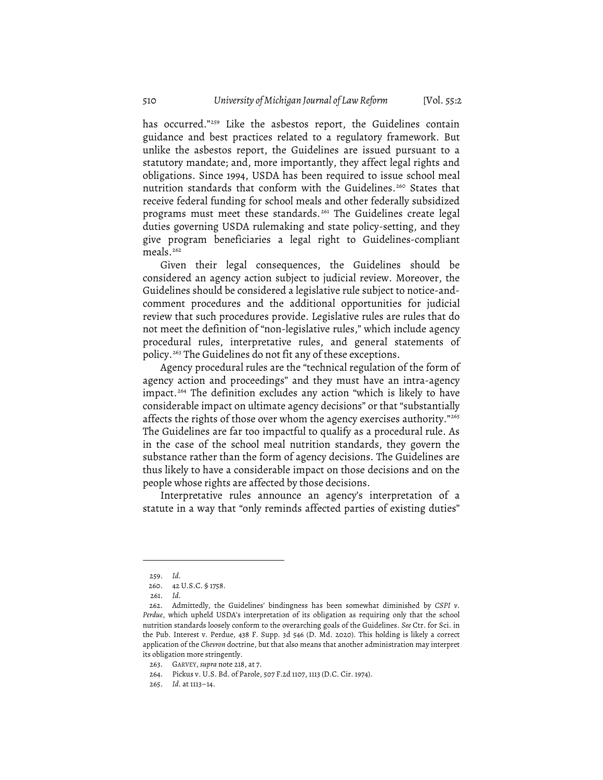has occurred."<sup>259</sup> Like the asbestos report, the Guidelines contain guidance and best practices related to a regulatory framework. But unlike the asbestos report, the Guidelines are issued pursuant to a statutory mandate; and, more importantly, they affect legal rights and obligations. Since 1994, USDA has been required to issue school meal nutrition standards that conform with the Guidelines. <sup>260</sup> States that receive federal funding for school meals and other federally subsidized programs must meet these standards.<sup>261</sup> The Guidelines create legal duties governing USDA rulemaking and state policy-setting, and they give program beneficiaries a legal right to Guidelines-compliant meals. 262

Given their legal consequences, the Guidelines should be considered an agency action subject to judicial review. Moreover, the Guidelines should be considered a legislative rule subject to notice-andcomment procedures and the additional opportunities for judicial review that such procedures provide. Legislative rules are rules that do not meet the definition of "non-legislative rules," which include agency procedural rules, interpretative rules, and general statements of policy. <sup>263</sup> The Guidelines do not fit any of these exceptions.

Agency procedural rules are the "technical regulation of the form of agency action and proceedings" and they must have an intra-agency impact. <sup>264</sup> The definition excludes any action "which is likely to have considerable impact on ultimate agency decisions" or that "substantially affects the rights of those over whom the agency exercises authority."265 The Guidelines are far too impactful to qualify as a procedural rule. As in the case of the school meal nutrition standards, they govern the substance rather than the form of agency decisions. The Guidelines are thus likely to have a considerable impact on those decisions and on the people whose rights are affected by those decisions.

Interpretative rules announce an agency's interpretation of a statute in a way that "only reminds affected parties of existing duties"

<sup>259.</sup> *Id.*

<sup>260.</sup> 42 U.S.C. § 1758.

<sup>261.</sup> *Id.*

<sup>262.</sup> Admittedly, the Guidelines' bindingness has been somewhat diminished by *CSPI v. Perdue*, which upheld USDA's interpretation of its obligation as requiring only that the school nutrition standards loosely conform to the overarching goals of the Guidelines. *See* Ctr. for Sci. in the Pub. Interest v. Perdue, 438 F. Supp. 3d 546 (D. Md. 2020). This holding is likely a correct application of the *Chevron* doctrine, but that also means that another administration may interpret its obligation more stringently.

<sup>263.</sup> GARVEY, *supra* note 218, at 7.

<sup>264.</sup> Pickus v. U.S. Bd. of Parole, 507 F.2d 1107, 1113 (D.C. Cir. 1974).

<sup>265.</sup> *Id.* at 1113–14.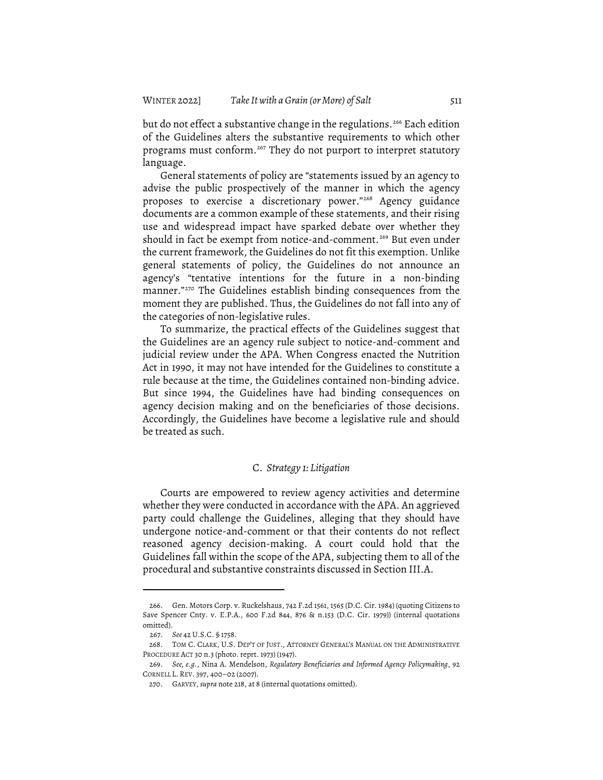but do not effect a substantive change in the regulations. <sup>266</sup> Each edition of the Guidelines alters the substantive requirements to which other programs must conform. <sup>267</sup> They do not purport to interpret statutory language.

General statements of policy are "statements issued by an agency to advise the public prospectively of the manner in which the agency proposes to exercise a discretionary power."268 Agency guidance documents are a common example of these statements, and their rising use and widespread impact have sparked debate over whether they should in fact be exempt from notice-and-comment. <sup>269</sup> But even under the current framework, the Guidelines do not fit this exemption. Unlike general statements of policy, the Guidelines do not announce an agency's "tentative intentions for the future in a non-binding manner."270 The Guidelines establish binding consequences from the moment they are published. Thus, the Guidelines do not fall into any of the categories of non-legislative rules.

To summarize, the practical effects of the Guidelines suggest that the Guidelines are an agency rule subject to notice-and-comment and judicial review under the APA. When Congress enacted the Nutrition Act in 1990, it may not have intended for the Guidelines to constitute a rule because at the time, the Guidelines contained non-binding advice. But since 1994, the Guidelines have had binding consequences on agency decision making and on the beneficiaries of those decisions. Accordingly, the Guidelines have become a legislative rule and should be treated as such.

#### C. *Strategy 1: Litigation*

Courts are empowered to review agency activities and determine whether they were conducted in accordance with the APA. An aggrieved party could challenge the Guidelines, alleging that they should have undergone notice-and-comment or that their contents do not reflect reasoned agency decision-making. A court could hold that the Guidelines fall within the scope of the APA, subjecting them to all of the procedural and substantive constraints discussed in Section III.A.

<sup>266.</sup> Gen. Motors Corp. v. Ruckelshaus, 742 F.2d 1561, 1565 (D.C. Cir. 1984) (quoting Citizens to Save Spencer Cnty. v. E.P.A., 600 F.2d 844, 876 & n.153 (D.C. Cir. 1979)) (internal quotations omitted).

<sup>267.</sup> *See* 42 U.S.C. § 1758.

<sup>268.</sup> TOM C. CLARK, U.S. DEP'T OF JUST., ATTORNEY GENERAL'S MANUAL ON THE ADMINISTRATIVE PROCEDURE ACT 30 n.3 (photo. reprt. 1973) (1947).

<sup>269.</sup> *See, e.g.*, Nina A. Mendelson, *Regulatory Beneficiaries and Informed Agency Policymaking*, 92 CORNELL L. REV. 397, 400–02 (2007).

<sup>270.</sup> GARVEY, *supra* note 218, at 8 (internal quotations omitted).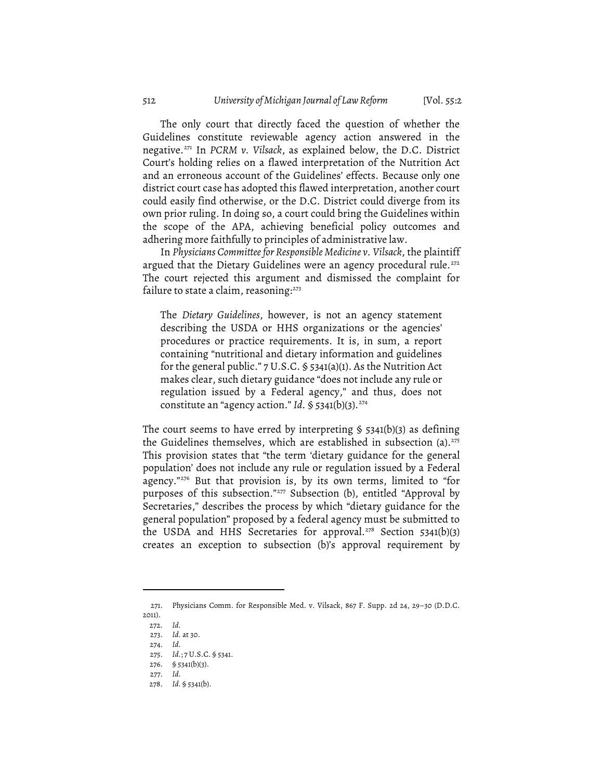The only court that directly faced the question of whether the Guidelines constitute reviewable agency action answered in the negative. <sup>271</sup> In *PCRM v. Vilsack*, as explained below, the D.C. District Court's holding relies on a flawed interpretation of the Nutrition Act and an erroneous account of the Guidelines' effects. Because only one district court case has adopted this flawed interpretation, another court could easily find otherwise, or the D.C. District could diverge from its own prior ruling. In doing so, a court could bring the Guidelines within the scope of the APA, achieving beneficial policy outcomes and adhering more faithfully to principles of administrative law.

In *Physicians Committeefor Responsible Medicine v. Vilsack*, the plaintiff argued that the Dietary Guidelines were an agency procedural rule. 272 The court rejected this argument and dismissed the complaint for failure to state a claim, reasoning: $273$ 

The *Dietary Guidelines*, however, is not an agency statement describing the USDA or HHS organizations or the agencies' procedures or practice requirements. It is, in sum, a report containing "nutritional and dietary information and guidelines for the general public." 7 U.S.C. § 5341(a)(1). As the Nutrition Act makes clear, such dietary guidance "does not include any rule or regulation issued by a Federal agency," and thus, does not constitute an "agency action." *Id.* § 5341(b)(3). 274

The court seems to have erred by interpreting  $\S$  5341(b)(3) as defining the Guidelines themselves, which are established in subsection (a). 275 This provision states that "the term 'dietary guidance for the general population' does not include any rule or regulation issued by a Federal agency."276 But that provision is, by its own terms, limited to "for purposes of this subsection."<sup>277</sup> Subsection (b), entitled "Approval by Secretaries," describes the process by which "dietary guidance for the general population" proposed by a federal agency must be submitted to the USDA and HHS Secretaries for approval. <sup>278</sup> Section 5341(b)(3) creates an exception to subsection (b)'s approval requirement by

<sup>271.</sup> Physicians Comm. for Responsible Med. v. Vilsack, 867 F. Supp. 2d 24, 29–30 (D.D.C. 2011).

<sup>272.</sup> *Id.*

<sup>273.</sup> *Id.* at 30.

<sup>274.</sup> *Id.*

<sup>275.</sup> *Id.*; 7 U.S.C. § 5341.

<sup>276. § 5341(</sup>b)(3).

<sup>277.</sup> *Id.*

<sup>278.</sup> *Id.* § 5341(b).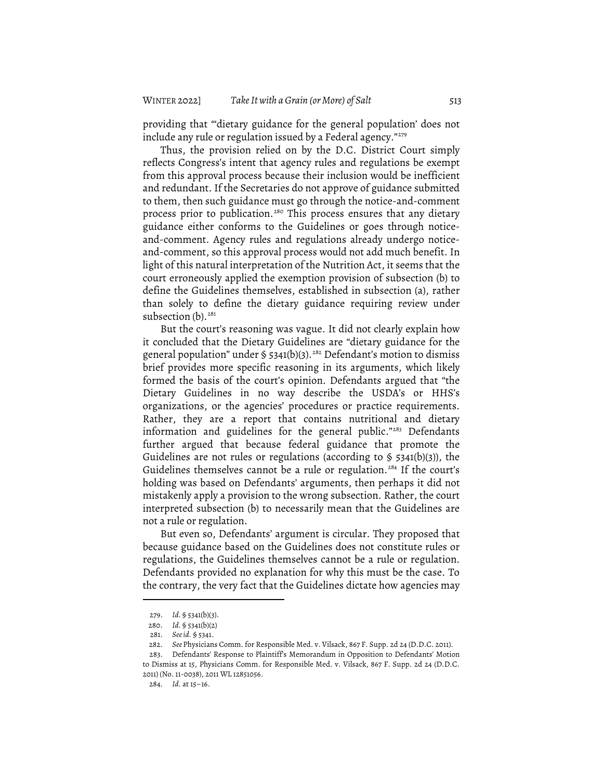providing that "'dietary guidance for the general population' does not include any rule or regulation issued by a Federal agency."<sup>279</sup>

Thus, the provision relied on by the D.C. District Court simply reflects Congress's intent that agency rules and regulations be exempt from this approval process because their inclusion would be inefficient and redundant. If the Secretaries do not approve of guidance submitted to them, then such guidance must go through the notice-and-comment process prior to publication.<sup>280</sup> This process ensures that any dietary guidance either conforms to the Guidelines or goes through noticeand-comment. Agency rules and regulations already undergo noticeand-comment, so this approval process would not add much benefit. In light of this natural interpretation of the Nutrition Act, it seems that the court erroneously applied the exemption provision of subsection (b) to define the Guidelines themselves, established in subsection (a), rather than solely to define the dietary guidance requiring review under subsection (b). 281

But the court's reasoning was vague. It did not clearly explain how it concluded that the Dietary Guidelines are "dietary guidance for the general population" under § 5341(b)(3). <sup>282</sup> Defendant's motion to dismiss brief provides more specific reasoning in its arguments, which likely formed the basis of the court's opinion. Defendants argued that "the Dietary Guidelines in no way describe the USDA's or HHS's organizations, or the agencies' procedures or practice requirements. Rather, they are a report that contains nutritional and dietary information and guidelines for the general public."283 Defendants further argued that because federal guidance that promote the Guidelines are not rules or regulations (according to § 5341(b)(3)), the Guidelines themselves cannot be a rule or regulation. <sup>284</sup> If the court's holding was based on Defendants' arguments, then perhaps it did not mistakenly apply a provision to the wrong subsection. Rather, the court interpreted subsection (b) to necessarily mean that the Guidelines are not a rule or regulation.

But even so, Defendants' argument is circular. They proposed that because guidance based on the Guidelines does not constitute rules or regulations, the Guidelines themselves cannot be a rule or regulation. Defendants provided no explanation for why this must be the case. To the contrary, the very fact that the Guidelines dictate how agencies may

<sup>279.</sup> *Id.* § 5341(b)(3).

<sup>280.</sup> *Id.* § 5341(b)(2)

<sup>281.</sup> *Seeid.* § 5341.

<sup>282.</sup> *See* Physicians Comm. for Responsible Med. v. Vilsack, 867 F. Supp. 2d 24 (D.D.C. 2011).

<sup>283.</sup> Defendants' Response to Plaintiff's Memorandum in Opposition to Defendants' Motion to Dismiss at 15, Physicians Comm. for Responsible Med. v. Vilsack, 867 F. Supp. 2d 24 (D.D.C. 2011) (No. 11-0038), 2011 WL 12851056.

<sup>284.</sup> *Id.* at 15–16.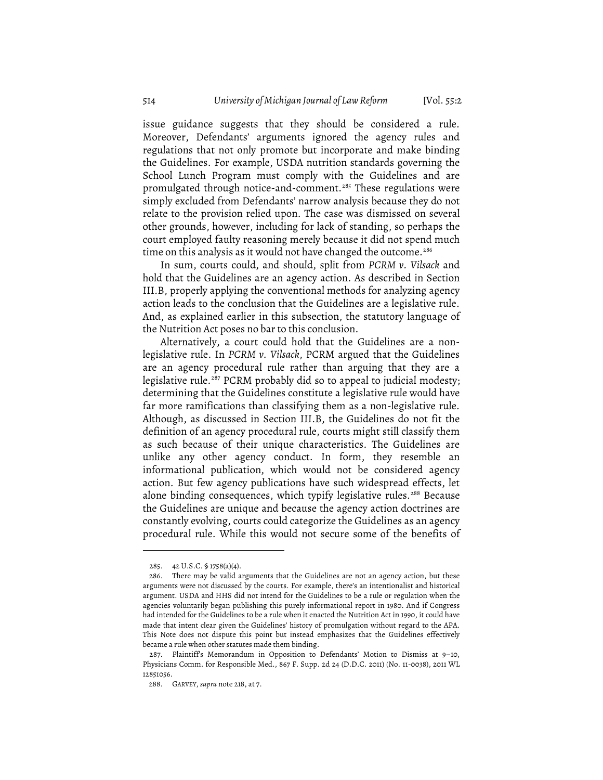issue guidance suggests that they should be considered a rule. Moreover, Defendants' arguments ignored the agency rules and regulations that not only promote but incorporate and make binding the Guidelines. For example, USDA nutrition standards governing the School Lunch Program must comply with the Guidelines and are promulgated through notice-and-comment. <sup>285</sup> These regulations were simply excluded from Defendants' narrow analysis because they do not relate to the provision relied upon. The case was dismissed on several other grounds, however, including for lack of standing, so perhaps the court employed faulty reasoning merely because it did not spend much time on this analysis as it would not have changed the outcome. 286

In sum, courts could, and should, split from *PCRM v. Vilsack* and hold that the Guidelines are an agency action. As described in Section III.B, properly applying the conventional methods for analyzing agency action leads to the conclusion that the Guidelines are a legislative rule. And, as explained earlier in this subsection, the statutory language of the Nutrition Act poses no bar to this conclusion.

Alternatively, a court could hold that the Guidelines are a nonlegislative rule. In *PCRM v. Vilsack*, PCRM argued that the Guidelines are an agency procedural rule rather than arguing that they are a legislative rule. <sup>287</sup> PCRM probably did so to appeal to judicial modesty; determining that the Guidelines constitute a legislative rule would have far more ramifications than classifying them as a non-legislative rule. Although, as discussed in Section III.B, the Guidelines do not fit the definition of an agency procedural rule, courts might still classify them as such because of their unique characteristics. The Guidelines are unlike any other agency conduct. In form, they resemble an informational publication, which would not be considered agency action. But few agency publications have such widespread effects, let alone binding consequences, which typify legislative rules. <sup>288</sup> Because the Guidelines are unique and because the agency action doctrines are constantly evolving, courts could categorize the Guidelines as an agency procedural rule. While this would not secure some of the benefits of

<sup>285.</sup> 42 U.S.C. § 1758(a)(4).

<sup>286.</sup> There may be valid arguments that the Guidelines are not an agency action, but these arguments were not discussed by the courts. For example, there's an intentionalist and historical argument. USDA and HHS did not intend for the Guidelines to be a rule or regulation when the agencies voluntarily began publishing this purely informational report in 1980. And if Congress had intended for the Guidelines to be a rule when it enacted the Nutrition Act in 1990, it could have made that intent clear given the Guidelines' history of promulgation without regard to the APA. This Note does not dispute this point but instead emphasizes that the Guidelines effectively became a rule when other statutes made them binding.

<sup>287.</sup> Plaintiff's Memorandum in Opposition to Defendants' Motion to Dismiss at 9–10, Physicians Comm. for Responsible Med., 867 F. Supp. 2d 24 (D.D.C. 2011) (No. 11-0038), 2011 WL 12851056.

<sup>288.</sup> GARVEY, *supra* note 218, at 7.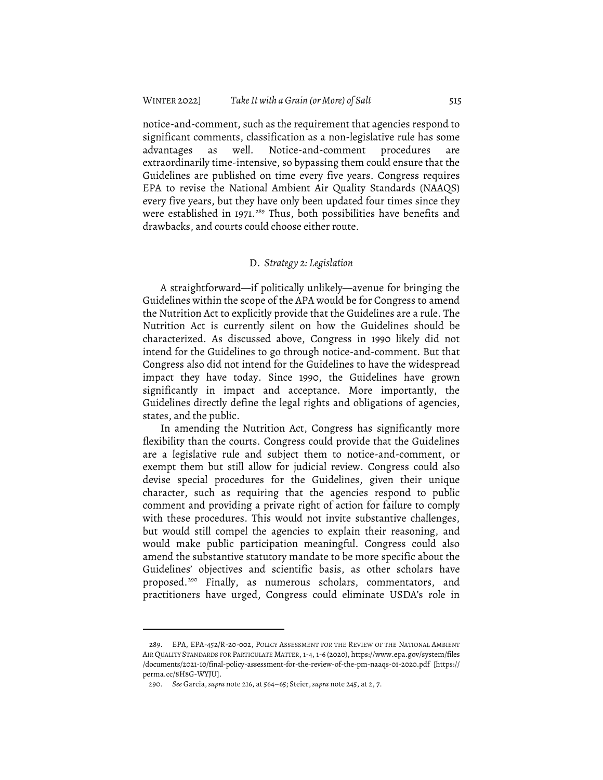notice-and-comment, such as the requirement that agencies respond to significant comments, classification as a non-legislative rule has some advantages as well. Notice-and-comment procedures are extraordinarily time-intensive, so bypassing them could ensure that the Guidelines are published on time every five years. Congress requires EPA to revise the National Ambient Air Quality Standards (NAAQS) every five years, but they have only been updated four times since they were established in 1971. <sup>289</sup> Thus, both possibilities have benefits and drawbacks, and courts could choose either route.

#### D. *Strategy 2: Legislation*

A straightforward—if politically unlikely—avenue for bringing the Guidelines within the scope of the APA would be for Congress to amend the Nutrition Act to explicitly provide that the Guidelines are a rule. The Nutrition Act is currently silent on how the Guidelines should be characterized. As discussed above, Congress in 1990 likely did not intend for the Guidelines to go through notice-and-comment. But that Congress also did not intend for the Guidelines to have the widespread impact they have today. Since 1990, the Guidelines have grown significantly in impact and acceptance. More importantly, the Guidelines directly define the legal rights and obligations of agencies, states, and the public.

In amending the Nutrition Act, Congress has significantly more flexibility than the courts. Congress could provide that the Guidelines are a legislative rule and subject them to notice-and-comment, or exempt them but still allow for judicial review. Congress could also devise special procedures for the Guidelines, given their unique character, such as requiring that the agencies respond to public comment and providing a private right of action for failure to comply with these procedures. This would not invite substantive challenges, but would still compel the agencies to explain their reasoning, and would make public participation meaningful. Congress could also amend the substantive statutory mandate to be more specific about the Guidelines' objectives and scientific basis, as other scholars have proposed. <sup>290</sup> Finally, as numerous scholars, commentators, and practitioners have urged, Congress could eliminate USDA's role in

<sup>289.</sup> EPA, EPA-452/R-20-002, POLICY ASSESSMENT FOR THE REVIEW OF THE NATIONAL AMBIENT AIR QUALITY STANDARDS FOR PARTICULATE MATTER, 1-4, 1-6 (2020), https://www.epa.gov/system/files /documents/2021-10/final-policy-assessment-for-the-review-of-the-pm-naaqs-01-2020.pdf [https:// perma.cc/8H8G-WYJU].

<sup>290.</sup> *See* Garcia,*supra* note 216, at 564–65; Steier,*supra* note 245, at 2, 7.